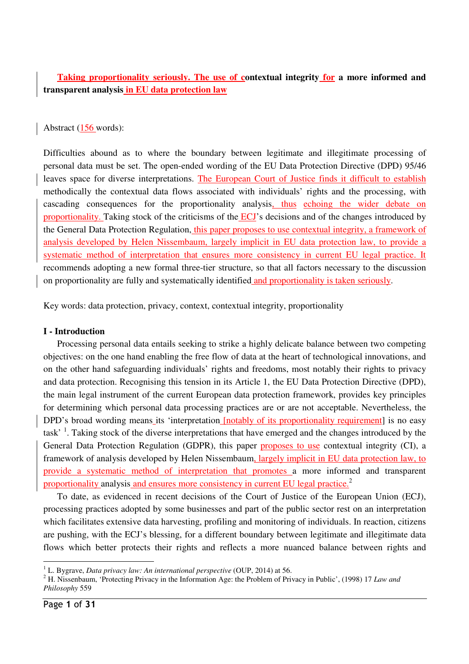**Taking proportionality seriously. The use of contextual integrity for a more informed and transparent analysis in EU data protection law**

# Abstract (156 words):

Difficulties abound as to where the boundary between legitimate and illegitimate processing of personal data must be set. The open-ended wording of the EU Data Protection Directive (DPD) 95/46 leaves space for diverse interpretations. The European Court of Justice finds it difficult to establish methodically the contextual data flows associated with individuals' rights and the processing, with cascading consequences for the proportionality analysis, thus echoing the wider debate on proportionality. Taking stock of the criticisms of the ECJ's decisions and of the changes introduced by the General Data Protection Regulation, this paper proposes to use contextual integrity, a framework of analysis developed by Helen Nissembaum, largely implicit in EU data protection law, to provide a systematic method of interpretation that ensures more consistency in current EU legal practice. It recommends adopting a new formal three-tier structure, so that all factors necessary to the discussion on proportionality are fully and systematically identified and proportionality is taken seriously.

Key words: data protection, privacy, context, contextual integrity, proportionality

# **I - Introduction**

Processing personal data entails seeking to strike a highly delicate balance between two competing objectives: on the one hand enabling the free flow of data at the heart of technological innovations, and on the other hand safeguarding individuals' rights and freedoms, most notably their rights to privacy and data protection. Recognising this tension in its Article 1, the EU Data Protection Directive (DPD), the main legal instrument of the current European data protection framework, provides key principles for determining which personal data processing practices are or are not acceptable. Nevertheless, the DPD's broad wording means its 'interpretation *[notably of its proportionality requirement]* is no easy task'<sup>1</sup>. Taking stock of the diverse interpretations that have emerged and the changes introduced by the General Data Protection Regulation (GDPR), this paper proposes to use contextual integrity (CI), a framework of analysis developed by Helen Nissembaum, largely implicit in EU data protection law, to provide a systematic method of interpretation that promotes a more informed and transparent proportionality analysis and ensures more consistency in current EU legal practice.<sup>2</sup>

To date, as evidenced in recent decisions of the Court of Justice of the European Union (ECJ), processing practices adopted by some businesses and part of the public sector rest on an interpretation which facilitates extensive data harvesting, profiling and monitoring of individuals. In reaction, citizens are pushing, with the ECJ's blessing, for a different boundary between legitimate and illegitimate data flows which better protects their rights and reflects a more nuanced balance between rights and

<sup>&</sup>lt;sup>1</sup> L. Bygrave, *Data privacy law: An international perspective* (OUP, 2014) at 56.

<sup>2</sup> H. Nissenbaum, 'Protecting Privacy in the Information Age: the Problem of Privacy in Public', (1998) 17 *Law and Philosophy* 559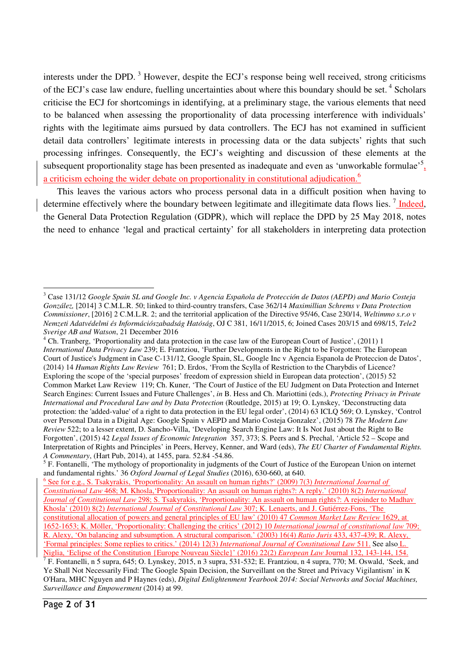interests under the DPD.<sup>3</sup> However, despite the ECJ's response being well received, strong criticisms of the ECJ's case law endure, fuelling uncertainties about where this boundary should be set.<sup>4</sup> Scholars criticise the ECJ for shortcomings in identifying, at a preliminary stage, the various elements that need to be balanced when assessing the proportionality of data processing interference with individuals' rights with the legitimate aims pursued by data controllers. The ECJ has not examined in sufficient detail data controllers' legitimate interests in processing data or the data subjects' rights that such processing infringes. Consequently, the ECJ's weighting and discussion of these elements at the subsequent proportionality stage has been presented as inadequate and even as 'unworkable formulae'<sup>5</sup>. a criticism echoing the wider debate on proportionality in constitutional adjudication.<sup>6</sup>

This leaves the various actors who process personal data in a difficult position when having to determine effectively where the boundary between legitimate and illegitimate data flows lies.<sup>7</sup> Indeed, the General Data Protection Regulation (GDPR), which will replace the DPD by 25 May 2018, notes the need to enhance 'legal and practical certainty' for all stakeholders in interpreting data protection

6 See for e.g., S. Tsakyrakis, 'Proportionality: An assault on human rights?' (2009) 7(3) *International Journal of Constitutional Law* 468; M. Khosla,'Proportionality: An assault on human rights?: A reply.' (2010) 8(2) *International Journal of Constitutional Law* 298; S. Tsakyrakis, 'Proportionality: An assault on human rights?: A rejoinder to Madhav Khosla' (2010) 8(2) *International Journal of Constitutional Law* 307; K. Lenaerts, and J. Gutiérrez-Fons, 'The constitutional allocation of powers and general principles of EU law' (2010) 47 *Common Market Law Review* 1629, at 1652-1653; K. Möller, 'Proportionality: Challenging the critics' (2012) 10 *International journal of constitutional law* 709; R. Alexy, 'On balancing and subsumption. A structural comparison.' (2003) 16(4) *Ratio Juris* 433, 437-439; R. Alexy, 'Formal principles: Some replies to critics.' (2014) 12(3) *International Journal of Constitutional Law* 511. See also L. Niglia, 'Eclipse of the Constitution {Europe Nouveau Siècle}' (2016) 22(2) *European Law* Journal 132, 143-144, 154. 7

<sup>-</sup>3 Case 131/12 *Google Spain SL and Google Inc. v Agencia Española de Protección de Datos (AEPD) and Mario Costeja González,* [2014] 3 C.M.L.R. 50; linked to third-country transfers, Case 362/14 *Maximillian Schrems v Data Protection Commissioner*, [2016] 2 C.M.L.R. 2; and the territorial application of the Directive 95/46, Case 230/14, *Weltimmo s.r.o v Nemzeti Adatvédelmi és Információszabadság Hatóság*, OJ C 381, 16/11/2015, 6; Joined Cases 203/15 and 698/15, *Tele2 Sverige AB and Watson*, 21 December 2016

<sup>&</sup>lt;sup>4</sup> Ch. Tranberg, 'Proportionality and data protection in the case law of the European Court of Justice', (2011) 1 *International Data Privacy Law* 239; E. Frantziou, 'Further Developments in the Right to be Forgotten: The European Court of Justice's Judgment in Case C-131/12, Google Spain, SL, Google Inc v Agencia Espanola de Proteccion de Datos', (2014) 14 *Human Rights Law Review* 761; D. Erdos, 'From the Scylla of Restriction to the Charybdis of Licence? Exploring the scope of the 'special purposes' freedom of expression shield in European data protection', (2015) 52 Common Market Law Review 119; Ch. Kuner, 'The Court of Justice of the EU Judgment on Data Protection and Internet Search Engines: Current Issues and Future Challenges', *in* B. Hess and Ch. Mariottini (eds.), *Protecting Privacy in Private International and Procedural Law and by Data Protection* (Routledge, 2015) at 19; O. Lynskey, 'Deconstructing data protection: the 'added-value' of a right to data protection in the EU legal order', (2014) 63 ICLQ 569; O. Lynskey, 'Control over Personal Data in a Digital Age: Google Spain v AEPD and Mario Costeja Gonzalez', (2015) 78 *The Modern Law Review* 522; to a lesser extent, D. Sancho-Villa, 'Developing Search Engine Law: It Is Not Just about the Right to Be Forgotten', (2015) 42 *Legal Issues of Economic Integration* 357, 373; S. Peers and S. Prechal, 'Article 52 – Scope and Interpretation of Rights and Principles' in Peers, Hervey, Kenner, and Ward (eds), *The EU Charter of Fundamental Rights. A Commentary*, (Hart Pub, 2014), at 1455, para. 52.84 -54.86.

 $<sup>5</sup>$  F. Fontanelli, 'The mythology of proportionality in judgments of the Court of Justice of the European Union on internet</sup> and fundamental rights.' 36 *Oxford Journal of Legal Studies* (2016), 630-660, at 640.

F. Fontanelli, n 5 supra, 645; O. Lynskey, 2015, n 3 supra, 531-532; E. Frantziou, n 4 supra, 770; M. Oswald, 'Seek, and Ye Shall Not Necessarily Find: The Google Spain Decision, the Surveillant on the Street and Privacy Vigilantism' in K O'Hara, MHC Nguyen and P Haynes (eds), *Digital Enlightenment Yearbook 2014: Social Networks and Social Machines, Surveillance and Empowerment* (2014) at 99.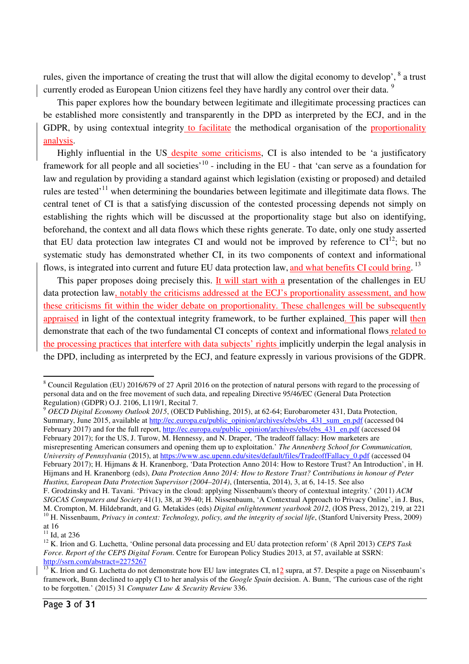rules, given the importance of creating the trust that will allow the digital economy to develop', <sup>8</sup> a trust currently eroded as European Union citizens feel they have hardly any control over their data.<sup>9</sup>

This paper explores how the boundary between legitimate and illegitimate processing practices can be established more consistently and transparently in the DPD as interpreted by the ECJ, and in the GDPR, by using contextual integrity to facilitate the methodical organisation of the proportionality analysis.

Highly influential in the US despite some criticisms, CI is also intended to be 'a justificatory framework for all people and all societies<sup>'10</sup> - including in the EU - that 'can serve as a foundation for law and regulation by providing a standard against which legislation (existing or proposed) and detailed rules are tested'<sup>11</sup> when determining the boundaries between legitimate and illegitimate data flows. The central tenet of CI is that a satisfying discussion of the contested processing depends not simply on establishing the rights which will be discussed at the proportionality stage but also on identifying, beforehand, the context and all data flows which these rights generate. To date, only one study asserted that EU data protection law integrates CI and would not be improved by reference to  $Cl^{12}$ ; but no systematic study has demonstrated whether CI, in its two components of context and informational flows, is integrated into current and future EU data protection law, and what benefits CI could bring.<sup>13</sup>

This paper proposes doing precisely this. It will start with a presentation of the challenges in EU data protection law, notably the criticisms addressed at the ECJ's proportionality assessment, and how these criticisms fit within the wider debate on proportionality. These challenges will be subsequently appraised in light of the contextual integrity framework, to be further explained. This paper will then demonstrate that each of the two fundamental CI concepts of context and informational flows related to the processing practices that interfere with data subjects' rights implicitly underpin the legal analysis in the DPD, including as interpreted by the ECJ, and feature expressly in various provisions of the GDPR.

<sup>9</sup> *OECD Digital Economy Outlook 2015*, (OECD Publishing, 2015), at 62-64; Eurobarometer 431, Data Protection, Summary, June 2015, available at http://ec.europa.eu/public\_opinion/archives/ebs/ebs\_431\_sum\_en.pdf (accessed 04 February 2017) and for the full report, http://ec.europa.eu/public\_opinion/archives/ebs/ebs\_431\_en.pdf (accessed 04 February 2017); for the US, J. Turow, M. Hennessy, and N. Draper, 'The tradeoff fallacy: How marketers are misrepresenting American consumers and opening them up to exploitation.' *The Annenberg School for Communication, University of Pennsylvania* (2015), at https://www.asc.upenn.edu/sites/default/files/TradeoffFallacy\_0.pdf (accessed 04 February 2017); H. Hijmans & H. Kranenborg, 'Data Protection Anno 2014: How to Restore Trust? An Introduction', in H. Hijmans and H. Kranenborg (eds), *Data Protection Anno 2014: How to Restore Trust? Contributions in honour of Peter Hustinx, European Data Protection Supervisor (2004–2014)*, (Intersentia, 2014), 3, at 6, 14-15. See also

<sup>&</sup>lt;sup>8</sup> Council Regulation (EU) 2016/679 of 27 April 2016 on the protection of natural persons with regard to the processing of personal data and on the free movement of such data, and repealing Directive 95/46/EC (General Data Protection Regulation) (GDPR) O.J. 2106, L119/1, Recital 7.

F. Grodzinsky and H. Tavani. 'Privacy in the cloud: applying Nissenbaum's theory of contextual integrity.' (2011) *ACM SIGCAS Computers and Society* 41(1), 38, at 39-40; H. Nissenbaum, 'A Contextual Approach to Privacy Online', in J. Bus, M. Crompton, M. Hildebrandt, and G. Metakides (eds) *Digital enlightenment yearbook 2012*, (IOS Press, 2012), 219, at 221 <sup>10</sup> H. Nissenbaum, *Privacy in context: Technology, policy, and the integrity of social life*, (Stanford University Press, 2009) at 16

 $11$  Id, at 236

<sup>12</sup> K. Irion and G. Luchetta, 'Online personal data processing and EU data protection reform' (8 April 2013) *CEPS Task Force. Report of the CEPS Digital Forum*. Centre for European Policy Studies 2013, at 57, available at SSRN: http://ssrn.com/abstract=2275267

 $\frac{13}{13}$  K. Irion and G. Luchetta do not demonstrate how EU law integrates CI, n12 supra, at 57. Despite a page on Nissenbaum's framework, Bunn declined to apply CI to her analysis of the *Google Spain* decision. A. Bunn, 'The curious case of the right to be forgotten.' (2015) 31 *Computer Law & Security Review* 336.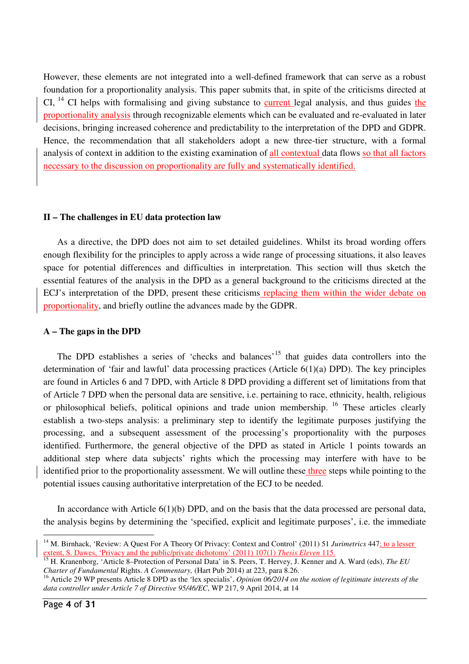However, these elements are not integrated into a well-defined framework that can serve as a robust foundation for a proportionality analysis. This paper submits that, in spite of the criticisms directed at CI.<sup>14</sup> CI helps with formalising and giving substance to current legal analysis, and thus guides the proportionality analysis through recognizable elements which can be evaluated and re-evaluated in later decisions, bringing increased coherence and predictability to the interpretation of the DPD and GDPR. Hence, the recommendation that all stakeholders adopt a new three-tier structure, with a formal analysis of context in addition to the existing examination of all contextual data flows so that all factors necessary to the discussion on proportionality are fully and systematically identified.

### **II – The challenges in EU data protection law**

As a directive, the DPD does not aim to set detailed guidelines. Whilst its broad wording offers enough flexibility for the principles to apply across a wide range of processing situations, it also leaves space for potential differences and difficulties in interpretation. This section will thus sketch the essential features of the analysis in the DPD as a general background to the criticisms directed at the ECJ's interpretation of the DPD, present these criticisms replacing them within the wider debate on proportionality, and briefly outline the advances made by the GDPR.

## **A – The gaps in the DPD**

The DPD establishes a series of 'checks and balances'<sup>15</sup> that guides data controllers into the determination of 'fair and lawful' data processing practices (Article 6(1)(a) DPD). The key principles are found in Articles 6 and 7 DPD, with Article 8 DPD providing a different set of limitations from that of Article 7 DPD when the personal data are sensitive, i.e. pertaining to race, ethnicity, health, religious or philosophical beliefs, political opinions and trade union membership.<sup>16</sup> These articles clearly establish a two-steps analysis: a preliminary step to identify the legitimate purposes justifying the processing, and a subsequent assessment of the processing's proportionality with the purposes identified. Furthermore, the general objective of the DPD as stated in Article 1 points towards an additional step where data subjects' rights which the processing may interfere with have to be identified prior to the proportionality assessment. We will outline these three steps while pointing to the potential issues causing authoritative interpretation of the ECJ to be needed.

In accordance with Article  $6(1)(b)$  DPD, and on the basis that the data processed are personal data, the analysis begins by determining the 'specified, explicit and legitimate purposes', i.e. the immediate

<sup>&</sup>lt;sup>14</sup> M. Birnhack, 'Review: A Quest For A Theory Of Privacy: Context and Control' (2011) 51 *Jurimetrics* 447; to a lesser extent, S. Dawes, 'Privacy and the public/private dichotomy' (2011) 107(1) *Thesis Eleven* 115.

<sup>15</sup> H. Kranenborg, 'Article 8–Protection of Personal Data' in S. Peers, T. Hervey, J. Kenner and A. Ward (eds), *The EU Charter of Fundamental* Rights. *A Commentary,* (Hart Pub 2014) at 223, para 8.26.

<sup>&</sup>lt;sup>16</sup> Article 29 WP presents Article 8 DPD as the 'lex specialis', *Opinion 06/2014 on the notion of legitimate interests of the data controller under Article 7 of Directive 95/46/EC*, WP 217, 9 April 2014, at 14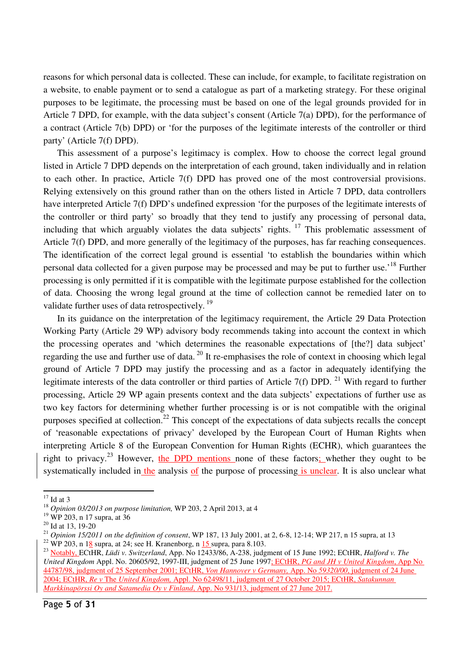reasons for which personal data is collected. These can include, for example, to facilitate registration on a website, to enable payment or to send a catalogue as part of a marketing strategy. For these original purposes to be legitimate, the processing must be based on one of the legal grounds provided for in Article 7 DPD, for example, with the data subject's consent (Article 7(a) DPD), for the performance of a contract (Article 7(b) DPD) or 'for the purposes of the legitimate interests of the controller or third party' (Article 7(f) DPD).

This assessment of a purpose's legitimacy is complex. How to choose the correct legal ground listed in Article 7 DPD depends on the interpretation of each ground, taken individually and in relation to each other. In practice, Article 7(f) DPD has proved one of the most controversial provisions. Relying extensively on this ground rather than on the others listed in Article 7 DPD, data controllers have interpreted Article 7(f) DPD's undefined expression 'for the purposes of the legitimate interests of the controller or third party' so broadly that they tend to justify any processing of personal data, including that which arguably violates the data subjects' rights.<sup>17</sup> This problematic assessment of Article 7(f) DPD, and more generally of the legitimacy of the purposes, has far reaching consequences. The identification of the correct legal ground is essential 'to establish the boundaries within which personal data collected for a given purpose may be processed and may be put to further use.'<sup>18</sup> Further processing is only permitted if it is compatible with the legitimate purpose established for the collection of data. Choosing the wrong legal ground at the time of collection cannot be remedied later on to validate further uses of data retrospectively.<sup>19</sup>

In its guidance on the interpretation of the legitimacy requirement, the Article 29 Data Protection Working Party (Article 29 WP) advisory body recommends taking into account the context in which the processing operates and 'which determines the reasonable expectations of [the?] data subject' regarding the use and further use of data.  $^{20}$  It re-emphasises the role of context in choosing which legal ground of Article 7 DPD may justify the processing and as a factor in adequately identifying the legitimate interests of the data controller or third parties of Article 7(f) DPD. <sup>21</sup> With regard to further processing, Article 29 WP again presents context and the data subjects' expectations of further use as two key factors for determining whether further processing is or is not compatible with the original purposes specified at collection.<sup>22</sup> This concept of the expectations of data subjects recalls the concept of 'reasonable expectations of privacy' developed by the European Court of Human Rights when interpreting Article 8 of the European Convention for Human Rights (ECHR), which guarantees the right to privacy.<sup>23</sup> However, the DPD mentions none of these factors; whether they ought to be systematically included in the analysis of the purpose of processing is unclear. It is also unclear what

 $17$  Id at 3

<sup>18</sup> *Opinion 03/2013 on purpose limitation,* WP 203, 2 April 2013, at 4

 $19$  WP 203, n 17 supra, at 36

 $20$  Id at 13, 19-20

<sup>21</sup> *Opinion 15/2011 on the definition of consent*, WP 187, 13 July 2001, at 2, 6-8, 12-14; WP 217, n 15 supra, at 13

<sup>&</sup>lt;sup>22</sup> WP 203, n 18 supra, at 24; see H. Kranenborg, n  $\frac{15}{15}$  supra, para 8.103.

<sup>23</sup> Notably, ECtHR, *Lüdi v. Switzerland*, App. No 12433/86, A-238, judgment of 15 June 1992; ECtHR, *Halford v. The United Kingdom* Appl. No. 20605/92, 1997-III, judgment of 25 June 1997; ECtHR, *PG and JH v United Kingdom*, App No 44787/98, judgment of 25 September 2001; ECtHR, *Von Hannover v Germany,* App. No *59320/00*, judgment of 24 June 2004; ECtHR, *Re v* The *United Kingdom,* Appl. No 62498/11, judgment of 27 October 2015; ECtHR, *Satakunnan Markkinapörssi Oy and Satamedia Oy v Finland*, App. No 931/13, judgment of 27 June 2017.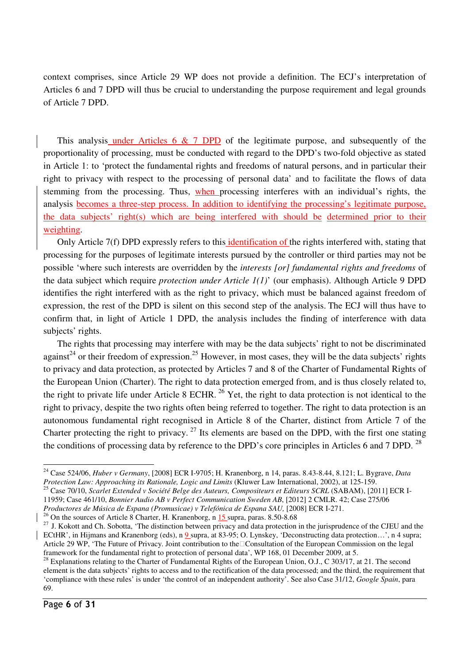context comprises, since Article 29 WP does not provide a definition. The ECJ's interpretation of Articles 6 and 7 DPD will thus be crucial to understanding the purpose requirement and legal grounds of Article 7 DPD.

This analysis under Articles 6  $\&$  7 DPD of the legitimate purpose, and subsequently of the proportionality of processing, must be conducted with regard to the DPD's two-fold objective as stated in Article 1: to 'protect the fundamental rights and freedoms of natural persons, and in particular their right to privacy with respect to the processing of personal data' and to facilitate the flows of data stemming from the processing. Thus, when processing interferes with an individual's rights, the analysis becomes a three-step process. In addition to identifying the processing's legitimate purpose, the data subjects' right(s) which are being interfered with should be determined prior to their weighting.

Only Article 7(f) DPD expressly refers to this identification of the rights interfered with, stating that processing for the purposes of legitimate interests pursued by the controller or third parties may not be possible 'where such interests are overridden by the *interests [or] fundamental rights and freedoms* of the data subject which require *protection under Article 1(1)*' (our emphasis). Although Article 9 DPD identifies the right interfered with as the right to privacy, which must be balanced against freedom of expression, the rest of the DPD is silent on this second step of the analysis. The ECJ will thus have to confirm that, in light of Article 1 DPD, the analysis includes the finding of interference with data subjects' rights.

The rights that processing may interfere with may be the data subjects' right to not be discriminated against<sup>24</sup> or their freedom of expression.<sup>25</sup> However, in most cases, they will be the data subjects' rights to privacy and data protection, as protected by Articles 7 and 8 of the Charter of Fundamental Rights of the European Union (Charter). The right to data protection emerged from, and is thus closely related to, the right to private life under Article 8 ECHR.<sup>26</sup> Yet, the right to data protection is not identical to the right to privacy, despite the two rights often being referred to together. The right to data protection is an autonomous fundamental right recognised in Article 8 of the Charter, distinct from Article 7 of the Charter protecting the right to privacy.<sup>27</sup> Its elements are based on the DPD, with the first one stating the conditions of processing data by reference to the DPD's core principles in Articles 6 and 7 DPD. <sup>28</sup>

<sup>24</sup> Case 524/06, *Huber v Germany*, [2008] ECR I-9705; H. Kranenborg, n 14, paras. 8.43-8.44, 8.121; L. Bygrave, *Data Protection Law: Approaching its Rationale, Logic and Limits* (Kluwer Law International, 2002), at 125-159.

<sup>25</sup> Case 70/10, *Scarlet Extended v Société Belge des Auteurs, Compositeurs et Editeurs SCRL* (SABAM), [2011] ECR I-

<sup>11959;</sup> Case 461/10, *Bonnier Audio AB v Perfect Communication Sweden AB*, [2012] 2 CMLR. 42; Case 275/06

*Productores de Música de Espana (Promusicae) v Telefónica de Espana SAU,* [2008] ECR I-271.

<sup>&</sup>lt;sup>26</sup> On the sources of Article 8 Charter, H. Kranenborg, n  $15$  supra, paras. 8.50-8.68

<sup>&</sup>lt;sup>27</sup> J. Kokott and Ch. Sobotta, 'The distinction between privacy and data protection in the jurisprudence of the CJEU and the ECtHR', in Hijmans and Kranenborg (eds), n 9 supra, at 83-95; O. Lynskey, 'Deconstructing data protection…', n 4 supra; Article 29 WP, 'The Future of Privacy. Joint contribution to the Consultation of the European Commission on the legal framework for the fundamental right to protection of personal data', WP 168, 01 December 2009, at 5.

<sup>&</sup>lt;sup>28</sup> Explanations relating to the Charter of Fundamental Rights of the European Union, O.J., C 303/17, at 21. The second element is the data subjects' rights to access and to the rectification of the data processed; and the third, the requirement that 'compliance with these rules' is under 'the control of an independent authority'. See also Case 31/12, *Google Spain*, para 69.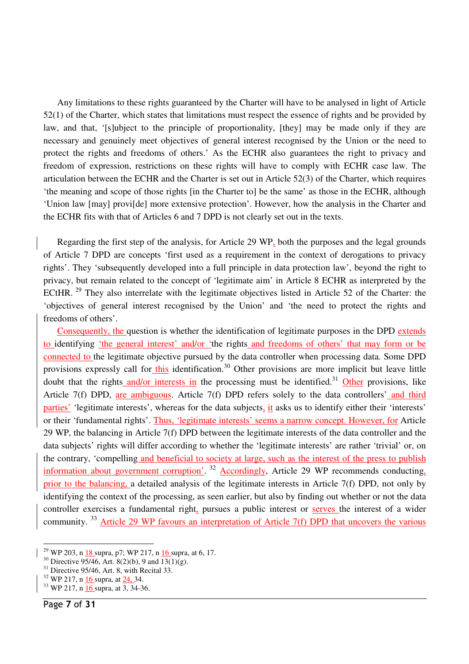Any limitations to these rights guaranteed by the Charter will have to be analysed in light of Article 52(1) of the Charter, which states that limitations must respect the essence of rights and be provided by law, and that, '[s]ubject to the principle of proportionality, [they] may be made only if they are necessary and genuinely meet objectives of general interest recognised by the Union or the need to protect the rights and freedoms of others.' As the ECHR also guarantees the right to privacy and freedom of expression, restrictions on these rights will have to comply with ECHR case law. The articulation between the ECHR and the Charter is set out in Article 52(3) of the Charter, which requires 'the meaning and scope of those rights [in the Charter to] be the same' as those in the ECHR, although 'Union law [may] provi[de] more extensive protection'. However, how the analysis in the Charter and the ECHR fits with that of Articles 6 and 7 DPD is not clearly set out in the texts.

Regarding the first step of the analysis, for Article 29 WP, both the purposes and the legal grounds of Article 7 DPD are concepts 'first used as a requirement in the context of derogations to privacy rights'. They 'subsequently developed into a full principle in data protection law', beyond the right to privacy, but remain related to the concept of 'legitimate aim' in Article 8 ECHR as interpreted by the ECtHR.<sup>29</sup> They also interrelate with the legitimate objectives listed in Article 52 of the Charter: the 'objectives of general interest recognised by the Union' and 'the need to protect the rights and freedoms of others'.

Consequently, the question is whether the identification of legitimate purposes in the DPD extends to identifying 'the general interest' and/or 'the rights and freedoms of others' that may form or be connected to the legitimate objective pursued by the data controller when processing data. Some DPD provisions expressly call for this identification.<sup>30</sup> Other provisions are more implicit but leave little doubt that the rights and/or interests in the processing must be identified.<sup>31</sup> Other provisions, like Article 7(f) DPD, are ambiguous. Article 7(f) DPD refers solely to the data controllers' and third parties' 'legitimate interests', whereas for the data subjects, it asks us to identify either their 'interests' or their 'fundamental rights'. Thus, 'legitimate interests' seems a narrow concept. However, for Article 29 WP, the balancing in Article 7(f) DPD between the legitimate interests of the data controller and the data subjects' rights will differ according to whether the 'legitimate interests' are rather 'trivial' or, on the contrary, 'compelling and beneficial to society at large, such as the interest of the press to publish information about government corruption'.<sup>32</sup> Accordingly, Article 29 WP recommends conducting, prior to the balancing, a detailed analysis of the legitimate interests in Article 7(f) DPD, not only by identifying the context of the processing, as seen earlier, but also by finding out whether or not the data controller exercises a fundamental right, pursues a public interest or serves the interest of a wider community. <sup>33</sup> Article 29 WP favours an interpretation of Article 7(f) DPD that uncovers the various

<sup>&</sup>lt;sup>29</sup> WP 203, n **18** supra, p7; WP 217, n **16** supra, at 6, 17.

 $30$  Directive 95/46, Art. 8(2)(b), 9 and  $\overline{13(1)(g)}$ .

 $31$  Directive 95/46, Art. 8, with Recital 33.

<sup>32</sup> WP 217, n 16 supra, at 24, 34.

 $33$  WP 217, n  $\overline{16}$  supra, at  $\overline{3}$ ,  $\overline{3}$ 4-36.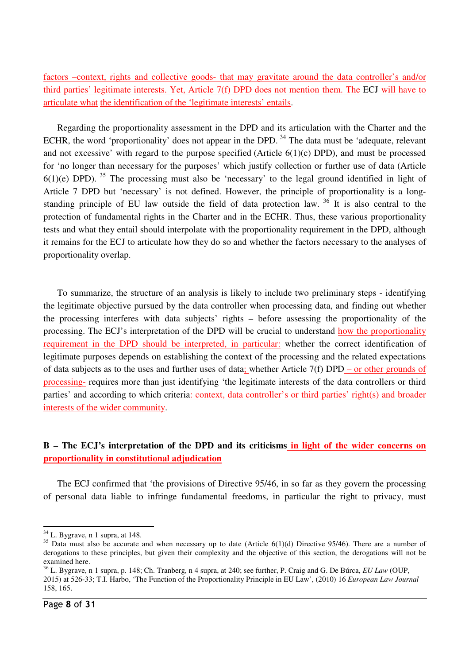factors –context, rights and collective goods- that may gravitate around the data controller's and/or third parties' legitimate interests. Yet, Article 7(f) DPD does not mention them. The ECJ will have to articulate what the identification of the 'legitimate interests' entails.

Regarding the proportionality assessment in the DPD and its articulation with the Charter and the ECHR, the word 'proportionality' does not appear in the DPD.<sup>34</sup> The data must be 'adequate, relevant and not excessive' with regard to the purpose specified (Article  $6(1)(c)$  DPD), and must be processed for 'no longer than necessary for the purposes' which justify collection or further use of data (Article  $6(1)(e)$  DPD). <sup>35</sup> The processing must also be 'necessary' to the legal ground identified in light of Article 7 DPD but 'necessary' is not defined. However, the principle of proportionality is a longstanding principle of EU law outside the field of data protection law.  $36$  It is also central to the protection of fundamental rights in the Charter and in the ECHR. Thus, these various proportionality tests and what they entail should interpolate with the proportionality requirement in the DPD, although it remains for the ECJ to articulate how they do so and whether the factors necessary to the analyses of proportionality overlap.

To summarize, the structure of an analysis is likely to include two preliminary steps - identifying the legitimate objective pursued by the data controller when processing data, and finding out whether the processing interferes with data subjects' rights – before assessing the proportionality of the processing. The ECJ's interpretation of the DPD will be crucial to understand how the proportionality requirement in the DPD should be interpreted, in particular: whether the correct identification of legitimate purposes depends on establishing the context of the processing and the related expectations of data subjects as to the uses and further uses of data; whether Article 7(f) DPD – or other grounds of processing- requires more than just identifying 'the legitimate interests of the data controllers or third parties' and according to which criteria: context, data controller's or third parties' right(s) and broader interests of the wider community.

# **B – The ECJ's interpretation of the DPD and its criticisms in light of the wider concerns on proportionality in constitutional adjudication**

The ECJ confirmed that 'the provisions of Directive 95/46, in so far as they govern the processing of personal data liable to infringe fundamental freedoms, in particular the right to privacy, must

<sup>-</sup> $34$  L. Bygrave, n 1 supra, at 148.

 $35$  Data must also be accurate and when necessary up to date (Article 6(1)(d) Directive 95/46). There are a number of derogations to these principles, but given their complexity and the objective of this section, the derogations will not be examined here.

<sup>36</sup> L. Bygrave, n 1 supra, p. 148; Ch. Tranberg, n 4 supra, at 240; see further, P. Craig and G. De Búrca, *EU Law* (OUP, 2015) at 526-33; T.I. Harbo, 'The Function of the Proportionality Principle in EU Law', (2010) 16 *European Law Journal* 158, 165.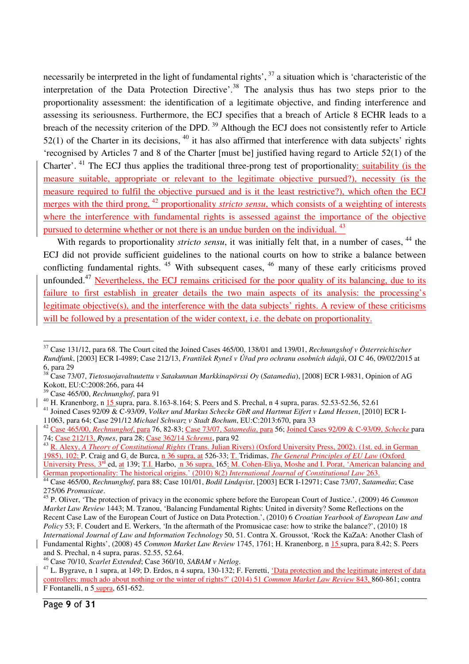necessarily be interpreted in the light of fundamental rights',  $37$  a situation which is 'characteristic of the interpretation of the Data Protection Directive'.<sup>38</sup> The analysis thus has two steps prior to the proportionality assessment: the identification of a legitimate objective, and finding interference and assessing its seriousness. Furthermore, the ECJ specifies that a breach of Article 8 ECHR leads to a breach of the necessity criterion of the DPD.<sup>39</sup> Although the ECJ does not consistently refer to Article  $52(1)$  of the Charter in its decisions,  $40$  it has also affirmed that interference with data subjects' rights 'recognised by Articles 7 and 8 of the Charter [must be] justified having regard to Article 52(1) of the Charter'.<sup>41</sup> The ECJ thus applies the traditional three-prong test of proportionality: suitability (is the measure suitable, appropriate or relevant to the legitimate objective pursued?), necessity (is the measure required to fulfil the objective pursued and is it the least restrictive?), which often the ECJ merges with the third prong,<sup>42</sup> proportionality *stricto sensu*, which consists of a weighting of interests where the interference with fundamental rights is assessed against the importance of the objective pursued to determine whether or not there is an undue burden on the individual. <sup>43</sup>

With regards to proportionality *stricto sensu*, it was initially felt that, in a number of cases, <sup>44</sup> the ECJ did not provide sufficient guidelines to the national courts on how to strike a balance between conflicting fundamental rights.<sup>45</sup> With subsequent cases,  $46$  many of these early criticisms proved unfounded.<sup>47</sup> Nevertheless, the ECJ remains criticised for the poor quality of its balancing, due to its failure to first establish in greater details the two main aspects of its analysis: the processing's legitimate objective(s), and the interference with the data subjects' rights. A review of these criticisms will be followed by a presentation of the wider context, i.e. the debate on proportionality.

<sup>-</sup><sup>37</sup> Case 131/12, para 68. The Court cited the Joined Cases 465/00, 138/01 and 139/01, *Rechnungshof v Österreichischer Rundfunk*, [2003] ECR I-4989; Case 212/13, *František Ryneš v Úřad pro ochranu osobních údajů*, OJ C 46, 09/02/2015 at 6, para 29

<sup>38</sup> Case 73/07, *Tietosuojavaltuutettu v Satakunnan Markkinapörssi Oy* (*Satamedia*), [2008] ECR I-9831, Opinion of AG Kokott, EU:C:2008:266, para 44

<sup>39</sup> Case 465/00, *Rechnunghof*, para 91

<sup>&</sup>lt;sup>40</sup> H. Kranenborg, n 15 supra, para. 8.163-8.164; S. Peers and S. Prechal, n 4 supra, paras. 52.53-52.56, 52.61

<sup>41</sup> Joined Cases 92/09 & C-93/09, *Volker und Markus Schecke GbR and Hartmut Eifert v Land Hessen*, [2010] ECR I-11063, para 64; Case 291/12 *Michael Schwarz v Stadt Bochum*, EU:C:2013:670, para 33

<sup>42</sup> Case 465/00, *Rechnunghof*, para 76, 82-83; Case 73/07, *Satamedia*, para 56; Joined Cases 92/09 & C-93/09, *Schecke* para 74; Case 212/13, *Rynes*, para 28; Case 362/14 *Schrems*, para 92

<sup>43</sup> R. Alexy, *A Theory of Constitutional Rights* (Trans. Julian Rivers) (Oxford University Press, 2002). (1st. ed. in German 1985), 102; P. Craig and G. de Burca, n 36 supra, at 526-33; T. Tridimas, *The General Principles of EU Law* (Oxford University Press,  $3^{rd}$  ed, at 139; T.I. Harbo, n 36 supra, 165; M. Cohen-Eliya, Moshe and I. Porat, 'American balancing and German proportionality: The historical origins.' (2010) 8(2) *International Journal of Constitutional Law* 263.

<sup>44</sup> Case 465/00, *Rechnunghof*, para 88; Case 101/01, *Bodil Lindqvist*, [2003] ECR I-12971; Case 73/07, *Satamedia*; Case 275/06 *Promusicae*.

<sup>45</sup> P. Oliver, 'The protection of privacy in the economic sphere before the European Court of Justice.', (2009) 46 *Common Market Law Review* 1443; M. Tzanou, 'Balancing Fundamental Rights: United in diversity? Some Reflections on the Recent Case Law of the European Court of Justice on Data Protection.', (2010) 6 *Croatian Yearbook of European Law and Policy* 53; F. Coudert and E. Werkers, 'In the aftermath of the Promusicae case: how to strike the balance?', (2010) 18 *International Journal of Law and Information Technology* 50, 51. Contra X. Groussot, 'Rock the KaZaA: Another Clash of Fundamental Rights', (2008) 45 *Common Market Law Review* 1745, 1761; H. Kranenborg, n 15 supra, para 8.42; S. Peers and S. Prechal, n 4 supra, paras. 52.55, 52.64.

<sup>46</sup> Case 70/10, *Scarlet Extended*; Case 360/10, *SABAM v Netlog*.

<sup>&</sup>lt;sup>47</sup> L. Bygrave, n 1 supra, at 149; D. Erdos, n 4 supra, 130-132; F. Ferretti, <u>'Data protection and the legitimate interest of data</u> controllers: much ado about nothing or the winter of rights?' (2014) 51 *Common Market Law Review* 843, 860-861; contra F Fontanelli, n 5 supra, 651-652.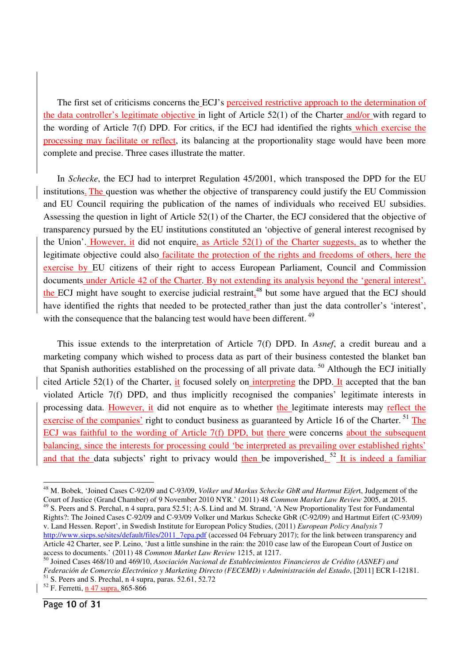The first set of criticisms concerns the ECJ's perceived restrictive approach to the determination of the data controller's legitimate objective in light of Article 52(1) of the Charter and/or with regard to the wording of Article 7(f) DPD. For critics, if the ECJ had identified the rights which exercise the processing may facilitate or reflect, its balancing at the proportionality stage would have been more complete and precise. Three cases illustrate the matter.

In *Schecke*, the ECJ had to interpret Regulation 45/2001, which transposed the DPD for the EU institutions. The question was whether the objective of transparency could justify the EU Commission and EU Council requiring the publication of the names of individuals who received EU subsidies. Assessing the question in light of Article 52(1) of the Charter, the ECJ considered that the objective of transparency pursued by the EU institutions constituted an 'objective of general interest recognised by the Union'. However, it did not enquire, as Article  $52(1)$  of the Charter suggests, as to whether the legitimate objective could also facilitate the protection of the rights and freedoms of others, here the exercise by EU citizens of their right to access European Parliament, Council and Commission documents under Article 42 of the Charter. By not extending its analysis beyond the 'general interest', the ECJ might have sought to exercise judicial restraint, <sup>48</sup> but some have argued that the ECJ should have identified the rights that needed to be protected rather than just the data controller's 'interest', with the consequence that the balancing test would have been different.<sup>49</sup>

This issue extends to the interpretation of Article 7(f) DPD. In *Asnef*, a credit bureau and a marketing company which wished to process data as part of their business contested the blanket ban that Spanish authorities established on the processing of all private data.<sup>50</sup> Although the ECJ initially cited Article 52(1) of the Charter, it focused solely on interpreting the DPD. It accepted that the ban violated Article 7(f) DPD, and thus implicitly recognised the companies' legitimate interests in processing data. However, it did not enquire as to whether the legitimate interests may reflect the exercise of the companies' right to conduct business as guaranteed by Article 16 of the Charter.<sup>51</sup> The ECJ was faithful to the wording of Article 7(f) DPD, but there were concerns about the subsequent balancing, since the interests for processing could 'be interpreted as prevailing over established rights' and that the data subjects' right to privacy would then be impoverished.<sup>52</sup> It is indeed a familiar

<sup>48</sup> M. Bobek, 'Joined Cases C-92/09 and C-93/09, *Volker und Markus Schecke GbR and Hartmut Eifer*t, Judgement of the Court of Justice (Grand Chamber) of 9 November 2010 NYR.' (2011) 48 *Common Market Law Review* 2005, at 2015. <sup>49</sup> S. Peers and S. Perchal, n 4 supra, para 52.51; A-S. Lind and M. Strand, 'A New Proportionality Test for Fundamental Rights?: The Joined Cases C-92/09 and C-93/09 Volker und Markus Schecke GbR (C-92/09) and Hartmut Eifert (C-93/09) v. Land Hessen. Report', in Swedish Institute for European Policy Studies, (2011) *European Policy Analysis* 7 http://www.sieps.se/sites/default/files/2011\_7epa.pdf (accessed 04 February 2017); for the link between transparency and Article 42 Charter, see P. Leino, 'Just a little sunshine in the rain: the 2010 case law of the European Court of Justice on access to documents.' (2011) 48 *Common Market Law Review* 1215, at 1217.

<sup>50</sup> Joined Cases 468/10 and 469/10, *Asociación Nacional de Establecimientos Financieros de Crédito (ASNEF) and Federación de Comercio Electrónico y Marketing Directo (FECEMD) v Administración del Estado*, [2011] ECR I-12181.  $51$  S. Peers and S. Prechal, n 4 supra, paras. 52.61, 52.72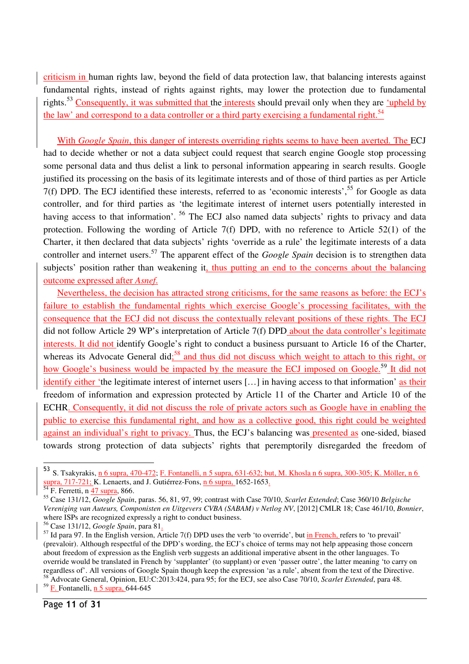criticism in human rights law, beyond the field of data protection law, that balancing interests against fundamental rights, instead of rights against rights, may lower the protection due to fundamental rights.<sup>53</sup> Consequently, it was submitted that the interests should prevail only when they are 'upheld by the law' and correspond to a data controller or a third party exercising a fundamental right.<sup>54</sup>

With *Google Spain*, this danger of interests overriding rights seems to have been averted. The ECJ had to decide whether or not a data subject could request that search engine Google stop processing some personal data and thus delist a link to personal information appearing in search results. Google justified its processing on the basis of its legitimate interests and of those of third parties as per Article  $7(f)$  DPD. The ECJ identified these interests, referred to as 'economic interests',<sup>55</sup> for Google as data controller, and for third parties as 'the legitimate interest of internet users potentially interested in having access to that information'.  $56$  The ECJ also named data subjects' rights to privacy and data protection. Following the wording of Article 7(f) DPD, with no reference to Article 52(1) of the Charter, it then declared that data subjects' rights 'override as a rule' the legitimate interests of a data controller and internet users.<sup>57</sup> The apparent effect of the *Google Spain* decision is to strengthen data subjects' position rather than weakening it, thus putting an end to the concerns about the balancing outcome expressed after *Asnef*.

Nevertheless, the decision has attracted strong criticisms, for the same reasons as before: the ECJ's failure to establish the fundamental rights which exercise Google's processing facilitates, with the consequence that the ECJ did not discuss the contextually relevant positions of these rights. The ECJ did not follow Article 29 WP's interpretation of Article 7(f) DPD about the data controller's legitimate interests. It did not identify Google's right to conduct a business pursuant to Article 16 of the Charter, whereas its Advocate General did<sub>1</sub><sup>58</sup> and thus did not discuss which weight to attach to this right, or how Google's business would be impacted by the measure the ECJ imposed on Google.<sup>59</sup> It did not identify either 'the legitimate interest of internet users […] in having access to that information' as their freedom of information and expression protected by Article 11 of the Charter and Article 10 of the ECHR. Consequently, it did not discuss the role of private actors such as Google have in enabling the public to exercise this fundamental right, and how as a collective good, this right could be weighted against an individual's right to privacy. Thus, the ECJ's balancing was presented as one-sided, biased towards strong protection of data subjects' rights that peremptorily disregarded the freedom of

<sup>53</sup> S. Tsakyrakis, <u>n 6 supra, 470-472; F. Fontanelli, n 5 supra, 631-632; but, M. Khosla n 6 supra, 300-305; K. Möller, n 6</u> supra, 717-721; K. Lenaerts, and J. Gutiérrez-Fons, n 6 supra, 1652-1653.

 $<sup>54</sup>$  F. Ferretti, n  $\frac{47 \text{ supra}}{200}$ , 866.</sup>

<sup>55</sup> Case 131/12, *Google Spain*, paras. 56, 81, 97, 99; contrast with Case 70/10, *Scarlet Extended*; Case 360/10 *Belgische Vereniging van Auteurs, Componisten en Uitgevers CVBA (SABAM) v Netlog NV*, [2012] CMLR 18; Case 461/10, *Bonnier*, where ISPs are recognized expressly a right to conduct business.

<sup>56</sup> Case 131/12, *Google Spain*, para 81.

 $^{57}$  Id para 97. In the English version, Article 7(f) DPD uses the verb 'to override', but in French, refers to 'to prevail' (prevaloir). Although respectful of the DPD's wording, the ECJ's choice of terms may not help appeasing those concern about freedom of expression as the English verb suggests an additional imperative absent in the other languages. To override would be translated in French by 'supplanter' (to supplant) or even 'passer outre', the latter meaning 'to carry on regardless of'. All versions of Google Spain though keep the expression 'as a rule', absent from the text of the Directive. <sup>58</sup> Advocate General, Opinion, EU:C:2013:424, para 95; for the ECJ, see also Case 70/10, *Scarlet Extended*, para 48.

 $59$  F. Fontanelli, n 5 supra, 644-645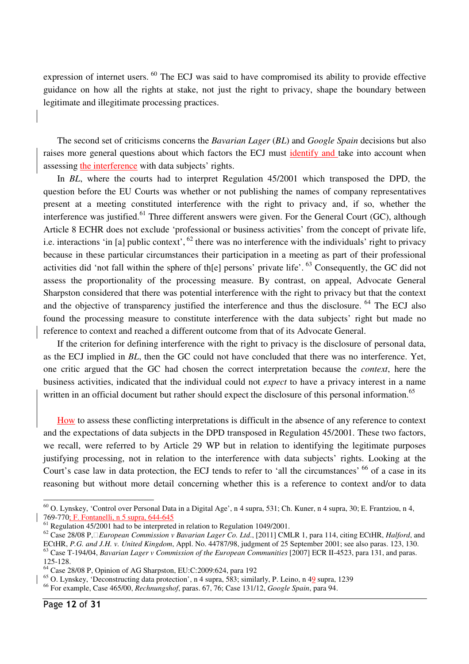expression of internet users.  $60$  The ECJ was said to have compromised its ability to provide effective guidance on how all the rights at stake, not just the right to privacy, shape the boundary between legitimate and illegitimate processing practices.

The second set of criticisms concerns the *Bavarian Lager* (*BL*) and *Google Spain* decisions but also raises more general questions about which factors the ECJ must identify and take into account when assessing the interference with data subjects' rights.

In *BL*, where the courts had to interpret Regulation 45/2001 which transposed the DPD, the question before the EU Courts was whether or not publishing the names of company representatives present at a meeting constituted interference with the right to privacy and, if so, whether the interference was justified.<sup>61</sup> Three different answers were given. For the General Court (GC), although Article 8 ECHR does not exclude 'professional or business activities' from the concept of private life, i.e. interactions 'in [a] public context',  $62$  there was no interference with the individuals' right to privacy because in these particular circumstances their participation in a meeting as part of their professional activities did 'not fall within the sphere of th[e] persons' private life'. <sup>63</sup> Consequently, the GC did not assess the proportionality of the processing measure. By contrast, on appeal, Advocate General Sharpston considered that there was potential interference with the right to privacy but that the context and the objective of transparency justified the interference and thus the disclosure.<sup>64</sup> The ECJ also found the processing measure to constitute interference with the data subjects' right but made no reference to context and reached a different outcome from that of its Advocate General.

If the criterion for defining interference with the right to privacy is the disclosure of personal data, as the ECJ implied in *BL*, then the GC could not have concluded that there was no interference. Yet, one critic argued that the GC had chosen the correct interpretation because the *context*, here the business activities, indicated that the individual could not *expect* to have a privacy interest in a name written in an official document but rather should expect the disclosure of this personal information.<sup>65</sup>

How to assess these conflicting interpretations is difficult in the absence of any reference to context and the expectations of data subjects in the DPD transposed in Regulation 45/2001. These two factors, we recall, were referred to by Article 29 WP but in relation to identifying the legitimate purposes justifying processing, not in relation to the interference with data subjects' rights. Looking at the Court's case law in data protection, the ECJ tends to refer to 'all the circumstances' <sup>66</sup> of a case in its reasoning but without more detail concerning whether this is a reference to context and/or to data

<sup>60</sup> O. Lynskey, 'Control over Personal Data in a Digital Age', n 4 supra, 531; Ch. Kuner, n 4 supra, 30; E. Frantziou, n 4, 769-770; F. Fontanelli, n 5 supra, 644-645

 $<sup>61</sup>$  Regulation 45/2001 had to be interpreted in relation to Regulation 1049/2001.</sup>

<sup>62</sup> Case 28/08 P,*European Commission v Bavarian Lager Co. Ltd*., [2011] CMLR 1, para 114, citing ECtHR, *Halford*, and ECtHR, *P.G. and J.H. v. United Kingdom*, Appl. No. 44787/98, judgment of 25 September 2001; see also paras. 123, 130. <sup>63</sup> Case T-194/04, *Bavarian Lager v Commission of the European Communities* [2007] ECR II-4523, para 131, and paras. 125-128.

<sup>64</sup> Case 28/08 P, Opinion of AG Sharpston, EU:C:2009:624, para 192

<sup>65</sup> O. Lynskey, 'Deconstructing data protection', n 4 supra, 583; similarly, P. Leino, n 49 supra, 1239

<sup>66</sup> For example, Case 465/00, *Rechnungshof*, paras. 67, 76; Case 131/12, *Google Spain*, para 94.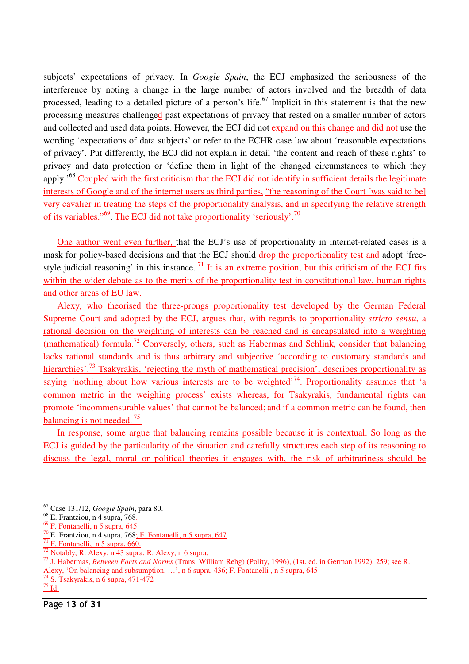subjects' expectations of privacy. In *Google Spain*, the ECJ emphasized the seriousness of the interference by noting a change in the large number of actors involved and the breadth of data processed, leading to a detailed picture of a person's life.<sup>67</sup> Implicit in this statement is that the new processing measures challenged past expectations of privacy that rested on a smaller number of actors and collected and used data points. However, the ECJ did not expand on this change and did not use the wording 'expectations of data subjects' or refer to the ECHR case law about 'reasonable expectations of privacy'. Put differently, the ECJ did not explain in detail 'the content and reach of these rights' to privacy and data protection or 'define them in light of the changed circumstances to which they apply.<sup>'68</sup> Coupled with the first criticism that the ECJ did not identify in sufficient details the legitimate interests of Google and of the internet users as third parties, "the reasoning of the Court [was said to be] very cavalier in treating the steps of the proportionality analysis, and in specifying the relative strength of its variables."<sup>69</sup>. The ECJ did not take proportionality 'seriously'.<sup>70</sup>

One author went even further, that the ECJ's use of proportionality in internet-related cases is a mask for policy-based decisions and that the ECJ should drop the proportionality test and adopt 'freestyle judicial reasoning' in this instance.  $\frac{71}{1}$  It is an extreme position, but this criticism of the ECJ fits within the wider debate as to the merits of the proportionality test in constitutional law, human rights and other areas of EU law.

Alexy, who theorised the three-prongs proportionality test developed by the German Federal Supreme Court and adopted by the ECJ, argues that, with regards to proportionality *stricto sensu*, a rational decision on the weighting of interests can be reached and is encapsulated into a weighting (mathematical) formula.<sup>72</sup> Conversely, others, such as Habermas and Schlink, consider that balancing lacks rational standards and is thus arbitrary and subjective 'according to customary standards and hierarchies'.<sup>73</sup> Tsakyrakis, 'rejecting the myth of mathematical precision', describes proportionality as saying 'nothing about how various interests are to be weighted<sup> $74$ </sup>. Proportionality assumes that 'a common metric in the weighing process' exists whereas, for Tsakyrakis, fundamental rights can promote 'incommensurable values' that cannot be balanced; and if a common metric can be found, then balancing is not needed.<sup>75</sup>

In response, some argue that balancing remains possible because it is contextual. So long as the ECJ is guided by the particularity of the situation and carefully structures each step of its reasoning to discuss the legal, moral or political theories it engages with, the risk of arbitrariness should be

<sup>-</sup><sup>67</sup> Case 131/12, *Google Spain*, para 80.

 $68$  E. Frantziou, n 4 supra, 768.

 $69$  F. Fontanelli, n 5 supra, 645.

 $\frac{70}{10}$  E. Frantziou, n 4 supra, 768; F. Fontanelli, n 5 supra, 647

 $\overline{71}$  F. Fontanelli, n 5 supra, 660.

 $\frac{1}{72}$  Notably, R. Alexy, n 43 supra; R. Alexy, n 6 supra.

<sup>73</sup> J. Habermas, *Between Facts and Norms* (Trans. William Rehg) (Polity, 1996), (1st. ed. in German 1992), 259; see R. Alexy, 'On balancing and subsumption. …', n 6 supra, 436; F. Fontanelli , n 5 supra, 645

<sup>74</sup> S. Tsakyrakis, n 6 supra, 471-472

 $\overline{^{75} \underline{\text{Id}}}.$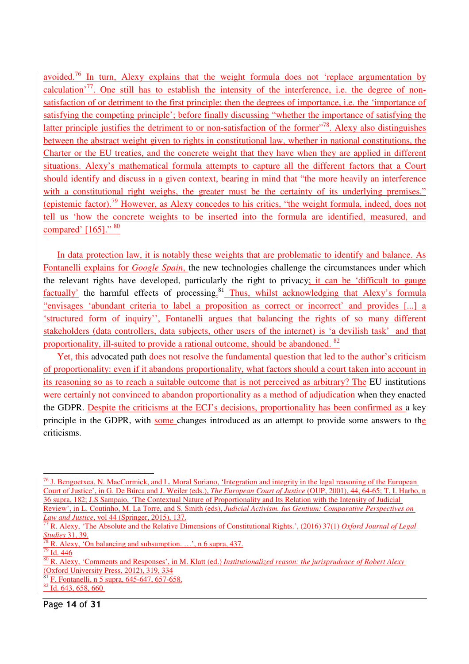avoided.<sup>76</sup> In turn, Alexy explains that the weight formula does not 'replace argumentation by calculation<sup>'77</sup>. One still has to establish the intensity of the interference, i.e. the degree of nonsatisfaction of or detriment to the first principle; then the degrees of importance, i.e. the 'importance of satisfying the competing principle'; before finally discussing "whether the importance of satisfying the latter principle justifies the detriment to or non-satisfaction of the former $178$ . Alexy also distinguishes between the abstract weight given to rights in constitutional law, whether in national constitutions, the Charter or the EU treaties, and the concrete weight that they have when they are applied in different situations. Alexy's mathematical formula attempts to capture all the different factors that a Court should identify and discuss in a given context, bearing in mind that "the more heavily an interference with a constitutional right weighs, the greater must be the certainty of its underlying premises." (epistemic factor).<sup>79</sup> However, as Alexy concedes to his critics, "the weight formula, indeed, does not tell us 'how the concrete weights to be inserted into the formula are identified, measured, and compared' [165]." 80

In data protection law, it is notably these weights that are problematic to identify and balance. As Fontanelli explains for *Google Spain*, the new technologies challenge the circumstances under which the relevant rights have developed, particularly the right to privacy; it can be 'difficult to gauge factually' the harmful effects of processing.<sup>81</sup> Thus, whilst acknowledging that Alexy's formula "envisages 'abundant criteria to label a proposition as correct or incorrect' and provides [...] a 'structured form of inquiry'', Fontanelli argues that balancing the rights of so many different stakeholders (data controllers, data subjects, other users of the internet) is 'a devilish task' and that proportionality, ill-suited to provide a rational outcome, should be abandoned. <sup>82</sup>

Yet, this advocated path does not resolve the fundamental question that led to the author's criticism of proportionality: even if it abandons proportionality, what factors should a court taken into account in its reasoning so as to reach a suitable outcome that is not perceived as arbitrary? The EU institutions were certainly not convinced to abandon proportionality as a method of adjudication when they enacted the GDPR. Despite the criticisms at the ECJ's decisions, proportionality has been confirmed as a key principle in the GDPR, with some changes introduced as an attempt to provide some answers to the criticisms.

 $^{76}$  J. Bengoetxea, N. MacCormick, and L. Moral Soriano, 'Integration and integrity in the legal reasoning of the European Court of Justice', in G. De Búrca and J. Weiler (eds.), *The European Court of Justice* (OUP, 2001), 44, 64-65; T. I. Harbo, n 36 supra, 182; J.S Sampaio, 'The Contextual Nature of Proportionality and Its Relation with the Intensity of Judicial Review', in L. Coutinho, M. La Torre, and S. Smith (eds), *Judicial Activism. Ius Gentium: Comparative Perspectives on Law and Justice*, vol 44 (Springer, 2015), 137.

<sup>77</sup> R. Alexy, 'The Absolute and the Relative Dimensions of Constitutional Rights.', (2016) 37(1) *Oxford Journal of Legal Studies* 31, 39.

<sup>&</sup>lt;sup>78</sup> R. Alexy, 'On balancing and subsumption. ...', n 6 supra, 437.

 $\frac{79}{10.446}$ 

<sup>80</sup> R. Alexy, 'Comments and Responses', in M. Klatt (ed.) *Institutionalized reason: the jurisprudence of Robert Alexy* (Oxford University Press, 2012), 319, 334

<sup>81</sup> F. Fontanelli, n 5 supra, 645-647, 657-658.

 $82$  Id. 643, 658, 660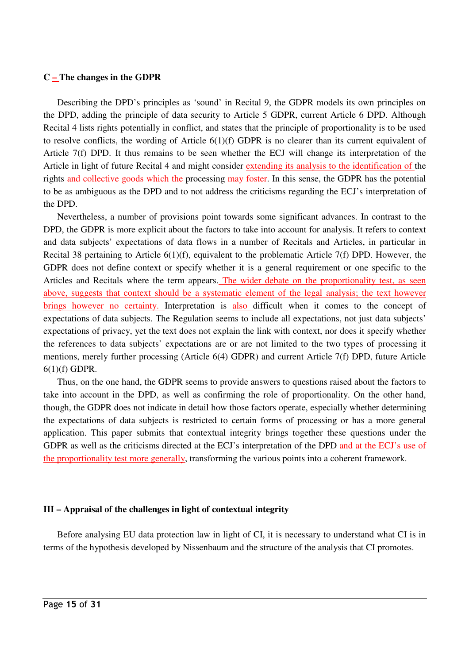## **C – The changes in the GDPR**

Describing the DPD's principles as 'sound' in Recital 9, the GDPR models its own principles on the DPD, adding the principle of data security to Article 5 GDPR, current Article 6 DPD. Although Recital 4 lists rights potentially in conflict, and states that the principle of proportionality is to be used to resolve conflicts, the wording of Article  $6(1)(f)$  GDPR is no clearer than its current equivalent of Article 7(f) DPD. It thus remains to be seen whether the ECJ will change its interpretation of the Article in light of future Recital 4 and might consider extending its analysis to the identification of the rights and collective goods which the processing may foster. In this sense, the GDPR has the potential to be as ambiguous as the DPD and to not address the criticisms regarding the ECJ's interpretation of the DPD.

Nevertheless, a number of provisions point towards some significant advances. In contrast to the DPD, the GDPR is more explicit about the factors to take into account for analysis. It refers to context and data subjects' expectations of data flows in a number of Recitals and Articles, in particular in Recital 38 pertaining to Article 6(1)(f), equivalent to the problematic Article 7(f) DPD. However, the GDPR does not define context or specify whether it is a general requirement or one specific to the Articles and Recitals where the term appears. The wider debate on the proportionality test, as seen above, suggests that context should be a systematic element of the legal analysis; the text however brings however no certainty. Interpretation is also difficult when it comes to the concept of expectations of data subjects. The Regulation seems to include all expectations, not just data subjects' expectations of privacy, yet the text does not explain the link with context, nor does it specify whether the references to data subjects' expectations are or are not limited to the two types of processing it mentions, merely further processing (Article 6(4) GDPR) and current Article 7(f) DPD, future Article  $6(1)(f)$  GDPR.

Thus, on the one hand, the GDPR seems to provide answers to questions raised about the factors to take into account in the DPD, as well as confirming the role of proportionality. On the other hand, though, the GDPR does not indicate in detail how those factors operate, especially whether determining the expectations of data subjects is restricted to certain forms of processing or has a more general application. This paper submits that contextual integrity brings together these questions under the GDPR as well as the criticisms directed at the ECJ's interpretation of the DPD and at the ECJ's use of the proportionality test more generally, transforming the various points into a coherent framework.

## **III – Appraisal of the challenges in light of contextual integrity**

Before analysing EU data protection law in light of CI, it is necessary to understand what CI is in terms of the hypothesis developed by Nissenbaum and the structure of the analysis that CI promotes.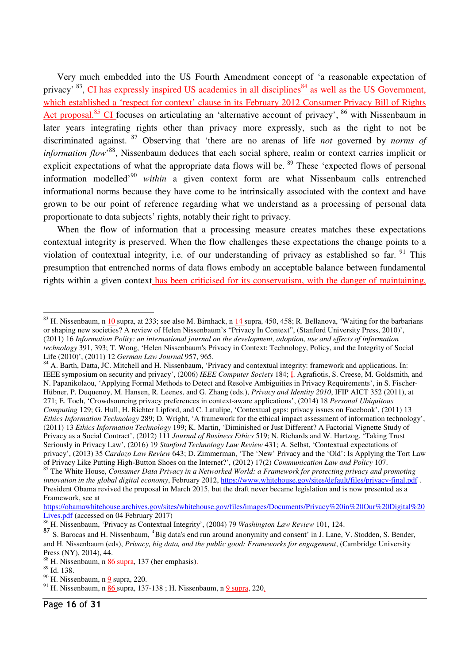Very much embedded into the US Fourth Amendment concept of 'a reasonable expectation of privacy<sup>, 83</sup>, CI has expressly inspired US academics in all disciplines<sup>84</sup> as well as the US Government, which established a 'respect for context' clause in its February 2012 Consumer Privacy Bill of Rights Act proposal.<sup>85</sup> CI focuses on articulating an 'alternative account of privacy',  $86$  with Nissenbaum in later years integrating rights other than privacy more expressly, such as the right to not be discriminated against. <sup>87</sup> Observing that 'there are no arenas of life *not* governed by *norms of information flow*' <sup>88</sup>, Nissenbaum deduces that each social sphere, realm or context carries implicit or explicit expectations of what the appropriate data flows will be. <sup>89</sup> These 'expected flows of personal information modelled'<sup>90</sup> *within* a given context form are what Nissenbaum calls entrenched informational norms because they have come to be intrinsically associated with the context and have grown to be our point of reference regarding what we understand as a processing of personal data proportionate to data subjects' rights, notably their right to privacy.

When the flow of information that a processing measure creates matches these expectations contextual integrity is preserved. When the flow challenges these expectations the change points to a violation of contextual integrity, i.e. of our understanding of privacy as established so far.  $91$  This presumption that entrenched norms of data flows embody an acceptable balance between fundamental rights within a given context has been criticised for its conservatism, with the danger of maintaining,

<sup>84</sup> A. Barth, Datta, JC. Mitchell and H. Nissenbaum, 'Privacy and contextual integrity: framework and applications. In: IEEE symposium on security and privacy', (2006) *IEEE Computer Society* 184; I. Agrafiotis, S. Creese, M. Goldsmith, and N. Papanikolaou, 'Applying Formal Methods to Detect and Resolve Ambiguities in Privacy Requirements', in S. Fischer-Hübner, P. Duquenoy, M. Hansen, R. Leenes, and G. Zhang (eds.), *Privacy and Identity 2010*, IFIP AICT 352 (2011), at 271; E. Toch, 'Crowdsourcing privacy preferences in context-aware applications', (2014) 18 *Personal Ubiquitous Computing* 129; G. Hull, H. Richter Lipford, and C. Latulipe, 'Contextual gaps: privacy issues on Facebook', (2011) 13 *Ethics Information Technology* 289; D. Wright, 'A framework for the ethical impact assessment of information technology', (2011) 13 *Ethics Information Technology* 199; K. Martin, 'Diminished or Just Different? A Factorial Vignette Study of Privacy as a Social Contract', (2012) 111 *Journal of Business Ethics* 519; N. Richards and W. Hartzog, 'Taking Trust Seriously in Privacy Law', (2016) 19 *Stanford Technology Law Review* 431; A. Selbst, 'Contextual expectations of privacy', (2013) 35 C*ardozo Law Review* 643; D. Zimmerman, 'The 'New' Privacy and the 'Old': Is Applying the Tort Law of Privacy Like Putting High-Button Shoes on the Internet?', (2012) 17(2) *Communication Law and Policy* 107.

<sup>85</sup> The White House, *Consumer Data Privacy in a Networked World: a Framework for protecting privacy and promoting innovation in the global digital economy*, February 2012, https://www.whitehouse.gov/sites/default/files/privacy-final.pdf. President Obama revived the proposal in March 2015, but the draft never became legislation and is now presented as a Framework, see at

https://obamawhitehouse.archives.gov/sites/whitehouse.gov/files/images/Documents/Privacy%20in%20Our%20Digital%20 Lives.pdf (accessed on 04 February 2017)

 $83$  H. Nissenbaum, n 10 supra, at 233; see also M. Birnhack, n 14 supra, 450, 458; R. Bellanova, 'Waiting for the barbarians or shaping new societies? A review of Helen Nissenbaum's "Privacy In Context", (Stanford University Press, 2010)', (2011) 16 *Information Polity: an international journal on the development, adoption, use and effects of information technology* 391, 393; T. Wong, 'Helen Nissenbaum's Privacy in Context: Technology, Policy, and the Integrity of Social Life (2010)', (2011) 12 *German Law Journal* 957, 965.

<sup>86</sup> H. Nissenbaum, 'Privacy as Contextual Integrity', (2004) 79 *Washington Law Review* 101, 124.

<sup>87</sup> S. Barocas and H. Nissenbaum, 'Big data's end run around anonymity and consent' in J. Lane, V. Stodden, S. Bender, and H. Nissenbaum (eds), *Privacy, big data, and the public good: Frameworks for engagement*, (Cambridge University Press (NY), 2014), 44.

<sup>88</sup> H. Nissenbaum, n 86 supra, 137 (her emphasis).

<sup>89</sup> Id. 138.

 $90$  H. Nissenbaum, n 9 supra, 220.

 $91$  H. Nissenbaum, n  $\frac{1}{86}$  supra, 137-138 ; H. Nissenbaum, n 9 supra, 220.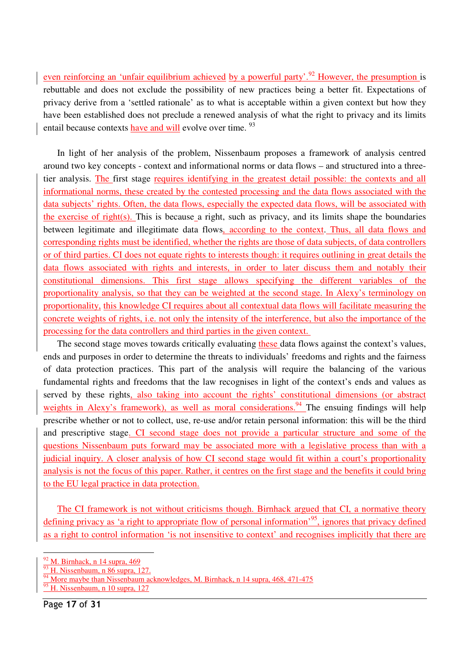even reinforcing an 'unfair equilibrium achieved by a powerful party'.<sup>92</sup> However, the presumption is rebuttable and does not exclude the possibility of new practices being a better fit. Expectations of privacy derive from a 'settled rationale' as to what is acceptable within a given context but how they have been established does not preclude a renewed analysis of what the right to privacy and its limits entail because contexts have and will evolve over time.<sup>93</sup>

In light of her analysis of the problem, Nissenbaum proposes a framework of analysis centred around two key concepts - context and informational norms or data flows – and structured into a threetier analysis. The first stage requires identifying in the greatest detail possible: the contexts and all informational norms, these created by the contested processing and the data flows associated with the data subjects' rights. Often, the data flows, especially the expected data flows, will be associated with the exercise of right(s). This is because a right, such as privacy, and its limits shape the boundaries between legitimate and illegitimate data flows, according to the context. Thus, all data flows and corresponding rights must be identified, whether the rights are those of data subjects, of data controllers or of third parties. CI does not equate rights to interests though: it requires outlining in great details the data flows associated with rights and interests, in order to later discuss them and notably their constitutional dimensions. This first stage allows specifying the different variables of the proportionality analysis, so that they can be weighted at the second stage. In Alexy's terminology on proportionality, this knowledge CI requires about all contextual data flows will facilitate measuring the concrete weights of rights, i.e. not only the intensity of the interference, but also the importance of the processing for the data controllers and third parties in the given context.

The second stage moves towards critically evaluating these data flows against the context's values, ends and purposes in order to determine the threats to individuals' freedoms and rights and the fairness of data protection practices. This part of the analysis will require the balancing of the various fundamental rights and freedoms that the law recognises in light of the context's ends and values as served by these rights, also taking into account the rights' constitutional dimensions (or abstract weights in Alexy's framework), as well as moral considerations.<sup>94</sup> The ensuing findings will help prescribe whether or not to collect, use, re-use and/or retain personal information: this will be the third and prescriptive stage. CI second stage does not provide a particular structure and some of the questions Nissenbaum puts forward may be associated more with a legislative process than with a judicial inquiry. A closer analysis of how CI second stage would fit within a court's proportionality analysis is not the focus of this paper. Rather, it centres on the first stage and the benefits it could bring to the EU legal practice in data protection.

The CI framework is not without criticisms though. Birnhack argued that CI, a normative theory defining privacy as 'a right to appropriate flow of personal information'<sup>95</sup>, ignores that privacy defined as a right to control information 'is not insensitive to context' and recognises implicitly that there are

 $92$  M. Birnhack, n 14 supra, 469

 $\frac{93}{93}$  H. Nissenbaum, n 86 supra, 127.

More maybe than Nissenbaum acknowledges, M. Birnhack, n 14 supra, 468, 471-475

<sup>95</sup> H. Nissenbaum, n 10 supra, 127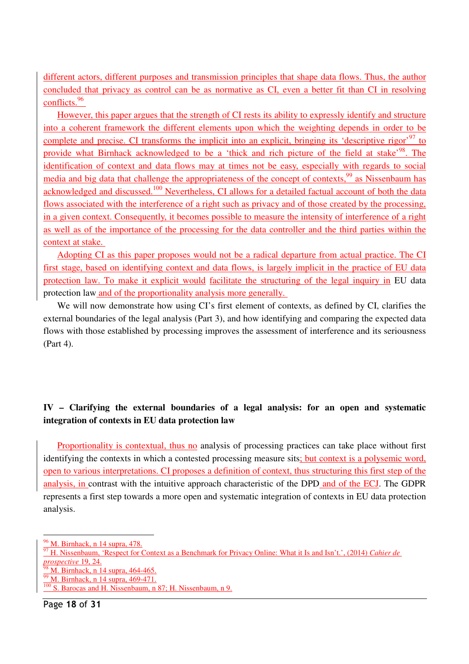different actors, different purposes and transmission principles that shape data flows. Thus, the author concluded that privacy as control can be as normative as CI, even a better fit than CI in resolving conflicts.<sup>96</sup>

However, this paper argues that the strength of CI rests its ability to expressly identify and structure into a coherent framework the different elements upon which the weighting depends in order to be complete and precise. CI transforms the implicit into an explicit, bringing its 'descriptive rigor'<sup>97</sup> to provide what Birnhack acknowledged to be a 'thick and rich picture of the field at stake'<sup>98</sup>. The identification of context and data flows may at times not be easy, especially with regards to social media and big data that challenge the appropriateness of the concept of contexts,<sup>99</sup> as Nissenbaum has acknowledged and discussed.<sup>100</sup> Nevertheless, CI allows for a detailed factual account of both the data flows associated with the interference of a right such as privacy and of those created by the processing, in a given context. Consequently, it becomes possible to measure the intensity of interference of a right as well as of the importance of the processing for the data controller and the third parties within the context at stake.

Adopting CI as this paper proposes would not be a radical departure from actual practice. The CI first stage, based on identifying context and data flows, is largely implicit in the practice of EU data protection law. To make it explicit would facilitate the structuring of the legal inquiry in EU data protection law and of the proportionality analysis more generally.

We will now demonstrate how using CI's first element of contexts, as defined by CI, clarifies the external boundaries of the legal analysis (Part 3), and how identifying and comparing the expected data flows with those established by processing improves the assessment of interference and its seriousness (Part 4).

# **IV – Clarifying the external boundaries of a legal analysis: for an open and systematic integration of contexts in EU data protection law**

Proportionality is contextual, thus no analysis of processing practices can take place without first identifying the contexts in which a contested processing measure sits; but context is a polysemic word, open to various interpretations. CI proposes a definition of context, thus structuring this first step of the analysis, in contrast with the intuitive approach characteristic of the DPD and of the ECJ. The GDPR represents a first step towards a more open and systematic integration of contexts in EU data protection analysis.

<sup>-</sup><sup>96</sup> M. Birnhack, n 14 supra, 478.

<sup>97</sup> H. Nissenbaum, 'Respect for Context as a Benchmark for Privacy Online: What it Is and Isn't.', (2014) *Cahier de prospective* 19, 24.

 $\frac{98}{98}$  M. Birnhack, n 14 supra, 464-465.

M. Birnhack, n 14 supra, 469-471.

 $\frac{100}{100}$  S. Barocas and H. Nissenbaum, n 87; H. Nissenbaum, n 9.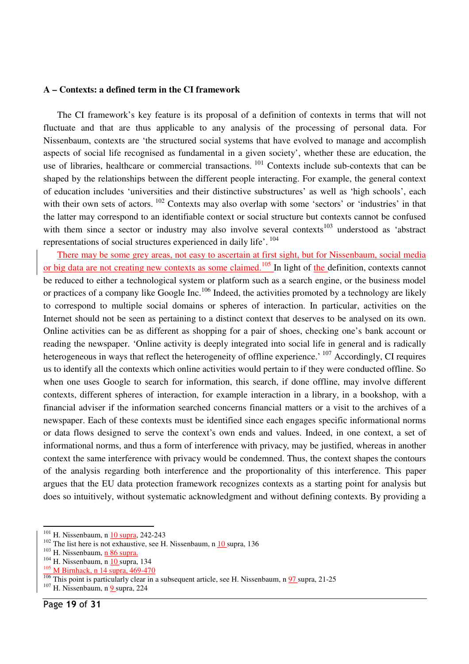#### **A – Contexts: a defined term in the CI framework**

The CI framework's key feature is its proposal of a definition of contexts in terms that will not fluctuate and that are thus applicable to any analysis of the processing of personal data. For Nissenbaum, contexts are 'the structured social systems that have evolved to manage and accomplish aspects of social life recognised as fundamental in a given society', whether these are education, the use of libraries, healthcare or commercial transactions.<sup>101</sup> Contexts include sub-contexts that can be shaped by the relationships between the different people interacting. For example, the general context of education includes 'universities and their distinctive substructures' as well as 'high schools', each with their own sets of actors.<sup>102</sup> Contexts may also overlap with some 'sectors' or 'industries' in that the latter may correspond to an identifiable context or social structure but contexts cannot be confused with them since a sector or industry may also involve several contexts<sup>103</sup> understood as 'abstract representations of social structures experienced in daily life'.<sup>104</sup>

There may be some grey areas, not easy to ascertain at first sight, but for Nissenbaum, social media or big data are not creating new contexts as some claimed.<sup>105</sup> In light of the definition, contexts cannot be reduced to either a technological system or platform such as a search engine, or the business model or practices of a company like Google Inc.<sup>106</sup> Indeed, the activities promoted by a technology are likely to correspond to multiple social domains or spheres of interaction. In particular, activities on the Internet should not be seen as pertaining to a distinct context that deserves to be analysed on its own. Online activities can be as different as shopping for a pair of shoes, checking one's bank account or reading the newspaper. 'Online activity is deeply integrated into social life in general and is radically heterogeneous in ways that reflect the heterogeneity of offline experience.<sup>'107</sup> Accordingly, CI requires us to identify all the contexts which online activities would pertain to if they were conducted offline. So when one uses Google to search for information, this search, if done offline, may involve different contexts, different spheres of interaction, for example interaction in a library, in a bookshop, with a financial adviser if the information searched concerns financial matters or a visit to the archives of a newspaper. Each of these contexts must be identified since each engages specific informational norms or data flows designed to serve the context's own ends and values. Indeed, in one context, a set of informational norms, and thus a form of interference with privacy, may be justified, whereas in another context the same interference with privacy would be condemned. Thus, the context shapes the contours of the analysis regarding both interference and the proportionality of this interference. This paper argues that the EU data protection framework recognizes contexts as a starting point for analysis but does so intuitively, without systematic acknowledgment and without defining contexts. By providing a

 $101$  H. Nissenbaum, n  $10$  supra, 242-243

<sup>&</sup>lt;sup>102</sup> The list here is not exhaustive, see H. Nissenbaum, n **10** supra, 136

 $103$  H. Nissenbaum,  $n$  86 supra.

 $104$  H. Nissenbaum, n 10 supra, 134

<sup>&</sup>lt;sup>105</sup> M Birnhack, n 14 supra, 469-470

 $\frac{106}{106}$  This point is particularly clear in a subsequent article, see H. Nissenbaum, n  $\frac{97}{106}$  supra, 21-25

 $107$  H. Nissenbaum, n  $9$  supra, 224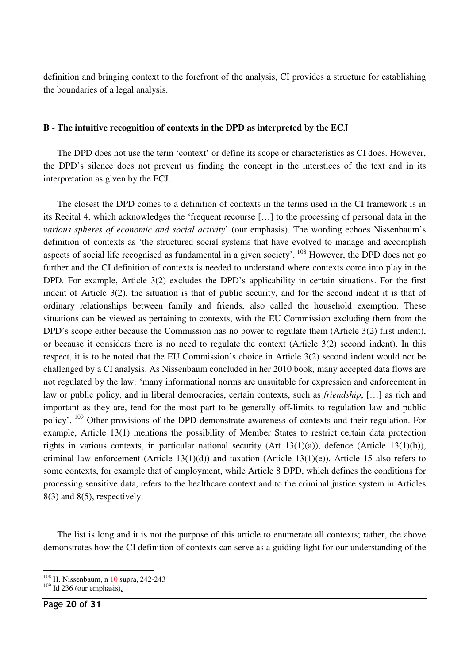definition and bringing context to the forefront of the analysis, CI provides a structure for establishing the boundaries of a legal analysis.

## **B - The intuitive recognition of contexts in the DPD as interpreted by the ECJ**

The DPD does not use the term 'context' or define its scope or characteristics as CI does. However, the DPD's silence does not prevent us finding the concept in the interstices of the text and in its interpretation as given by the ECJ.

The closest the DPD comes to a definition of contexts in the terms used in the CI framework is in its Recital 4, which acknowledges the 'frequent recourse […] to the processing of personal data in the *various spheres of economic and social activity*' (our emphasis). The wording echoes Nissenbaum's definition of contexts as 'the structured social systems that have evolved to manage and accomplish aspects of social life recognised as fundamental in a given society'.  $^{108}$  However, the DPD does not go further and the CI definition of contexts is needed to understand where contexts come into play in the DPD. For example, Article 3(2) excludes the DPD's applicability in certain situations. For the first indent of Article 3(2), the situation is that of public security, and for the second indent it is that of ordinary relationships between family and friends, also called the household exemption. These situations can be viewed as pertaining to contexts, with the EU Commission excluding them from the DPD's scope either because the Commission has no power to regulate them (Article 3(2) first indent), or because it considers there is no need to regulate the context (Article 3(2) second indent). In this respect, it is to be noted that the EU Commission's choice in Article 3(2) second indent would not be challenged by a CI analysis. As Nissenbaum concluded in her 2010 book, many accepted data flows are not regulated by the law: 'many informational norms are unsuitable for expression and enforcement in law or public policy, and in liberal democracies, certain contexts, such as *friendship*, […] as rich and important as they are, tend for the most part to be generally off-limits to regulation law and public policy'.<sup>109</sup> Other provisions of the DPD demonstrate awareness of contexts and their regulation. For example, Article 13(1) mentions the possibility of Member States to restrict certain data protection rights in various contexts, in particular national security (Art  $13(1)(a)$ ), defence (Article 13(1)(b)), criminal law enforcement (Article 13(1)(d)) and taxation (Article 13(1)(e)). Article 15 also refers to some contexts, for example that of employment, while Article 8 DPD, which defines the conditions for processing sensitive data, refers to the healthcare context and to the criminal justice system in Articles 8(3) and 8(5), respectively.

The list is long and it is not the purpose of this article to enumerate all contexts; rather, the above demonstrates how the CI definition of contexts can serve as a guiding light for our understanding of the

Page **20** of **31**

<sup>&</sup>lt;sup>108</sup> H. Nissenbaum, n **10** supra, 242-243

 $109$  Id 236 (our emphasis).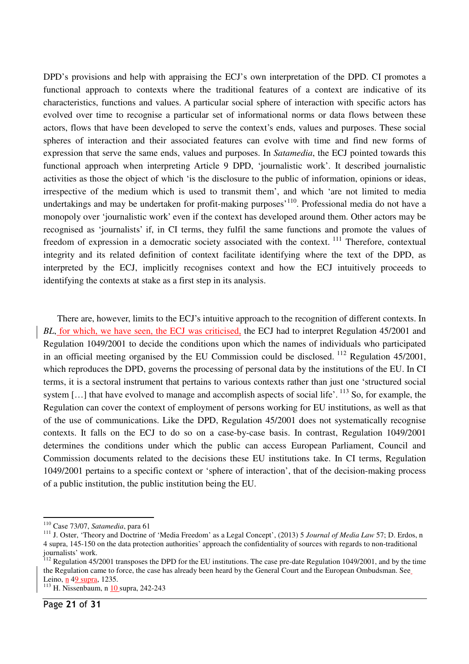DPD's provisions and help with appraising the ECJ's own interpretation of the DPD. CI promotes a functional approach to contexts where the traditional features of a context are indicative of its characteristics, functions and values. A particular social sphere of interaction with specific actors has evolved over time to recognise a particular set of informational norms or data flows between these actors, flows that have been developed to serve the context's ends, values and purposes. These social spheres of interaction and their associated features can evolve with time and find new forms of expression that serve the same ends, values and purposes. In *Satamedia*, the ECJ pointed towards this functional approach when interpreting Article 9 DPD, 'journalistic work'. It described journalistic activities as those the object of which 'is the disclosure to the public of information, opinions or ideas, irrespective of the medium which is used to transmit them', and which 'are not limited to media undertakings and may be undertaken for profit-making purposes<sup>'110</sup>. Professional media do not have a monopoly over 'journalistic work' even if the context has developed around them. Other actors may be recognised as 'journalists' if, in CI terms, they fulfil the same functions and promote the values of freedom of expression in a democratic society associated with the context.<sup>111</sup> Therefore, contextual integrity and its related definition of context facilitate identifying where the text of the DPD, as interpreted by the ECJ, implicitly recognises context and how the ECJ intuitively proceeds to identifying the contexts at stake as a first step in its analysis.

There are, however, limits to the ECJ's intuitive approach to the recognition of different contexts. In *BL*, for which, we have seen, the ECJ was criticised, the ECJ had to interpret Regulation 45/2001 and Regulation 1049/2001 to decide the conditions upon which the names of individuals who participated in an official meeting organised by the EU Commission could be disclosed.<sup>112</sup> Regulation  $45/2001$ . which reproduces the DPD, governs the processing of personal data by the institutions of the EU. In CI terms, it is a sectoral instrument that pertains to various contexts rather than just one 'structured social system [...] that have evolved to manage and accomplish aspects of social life'.<sup>113</sup> So, for example, the Regulation can cover the context of employment of persons working for EU institutions, as well as that of the use of communications. Like the DPD, Regulation 45/2001 does not systematically recognise contexts. It falls on the ECJ to do so on a case-by-case basis. In contrast, Regulation 1049/2001 determines the conditions under which the public can access European Parliament, Council and Commission documents related to the decisions these EU institutions take. In CI terms, Regulation 1049/2001 pertains to a specific context or 'sphere of interaction', that of the decision-making process of a public institution, the public institution being the EU.

<sup>-</sup><sup>110</sup> Case 73/07, *Satamedia*, para 61

<sup>111</sup> J. Oster, 'Theory and Doctrine of 'Media Freedom' as a Legal Concept', (2013) 5 *Journal of Media Law* 57; D. Erdos, n 4 supra, 145-150 on the data protection authorities' approach the confidentiality of sources with regards to non-traditional journalists' work.

 $112$  Regulation 45/2001 transposes the DPD for the EU institutions. The case pre-date Regulation 1049/2001, and by the time the Regulation came to force, the case has already been heard by the General Court and the European Ombudsman. See Leino, n 49 supra, 1235.

<sup>113</sup> H. Nissenbaum, n 10 supra, 242-243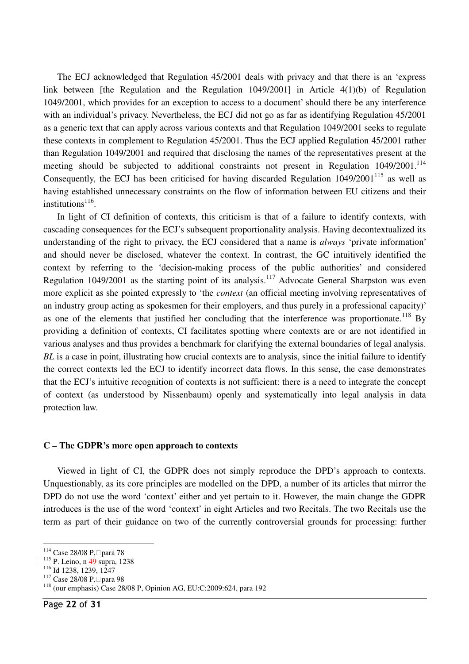The ECJ acknowledged that Regulation 45/2001 deals with privacy and that there is an 'express link between [the Regulation and the Regulation 1049/2001] in Article 4(1)(b) of Regulation 1049/2001, which provides for an exception to access to a document' should there be any interference with an individual's privacy. Nevertheless, the ECJ did not go as far as identifying Regulation 45/2001 as a generic text that can apply across various contexts and that Regulation 1049/2001 seeks to regulate these contexts in complement to Regulation 45/2001. Thus the ECJ applied Regulation 45/2001 rather than Regulation 1049/2001 and required that disclosing the names of the representatives present at the meeting should be subjected to additional constraints not present in Regulation  $1049/2001$ .<sup>114</sup> Consequently, the ECJ has been criticised for having discarded Regulation  $1049/2001^{115}$  as well as having established unnecessary constraints on the flow of information between EU citizens and their institutions $^{116}$ .

In light of CI definition of contexts, this criticism is that of a failure to identify contexts, with cascading consequences for the ECJ's subsequent proportionality analysis. Having decontextualized its understanding of the right to privacy, the ECJ considered that a name is *always* 'private information' and should never be disclosed, whatever the context. In contrast, the GC intuitively identified the context by referring to the 'decision-making process of the public authorities' and considered Regulation 1049/2001 as the starting point of its analysis.<sup>117</sup> Advocate General Sharpston was even more explicit as she pointed expressly to 'the *context* (an official meeting involving representatives of an industry group acting as spokesmen for their employers, and thus purely in a professional capacity)' as one of the elements that justified her concluding that the interference was proportionate.<sup>118</sup> By providing a definition of contexts, CI facilitates spotting where contexts are or are not identified in various analyses and thus provides a benchmark for clarifying the external boundaries of legal analysis. *BL* is a case in point, illustrating how crucial contexts are to analysis, since the initial failure to identify the correct contexts led the ECJ to identify incorrect data flows. In this sense, the case demonstrates that the ECJ's intuitive recognition of contexts is not sufficient: there is a need to integrate the concept of context (as understood by Nissenbaum) openly and systematically into legal analysis in data protection law.

## **C – The GDPR's more open approach to contexts**

Viewed in light of CI, the GDPR does not simply reproduce the DPD's approach to contexts. Unquestionably, as its core principles are modelled on the DPD, a number of its articles that mirror the DPD do not use the word 'context' either and yet pertain to it. However, the main change the GDPR introduces is the use of the word 'context' in eight Articles and two Recitals. The two Recitals use the term as part of their guidance on two of the currently controversial grounds for processing: further

 $114$  Case 28/08 P, para 78

 $115$  P. Leino, n  $\frac{49}{3}$  supra, 1238

<sup>116</sup> Id 1238, 1239, 1247

<sup>&</sup>lt;sup>117</sup> Case 28/08 P,□para 98

 $118$  (our emphasis) Case 28/08 P, Opinion AG, EU:C:2009:624, para 192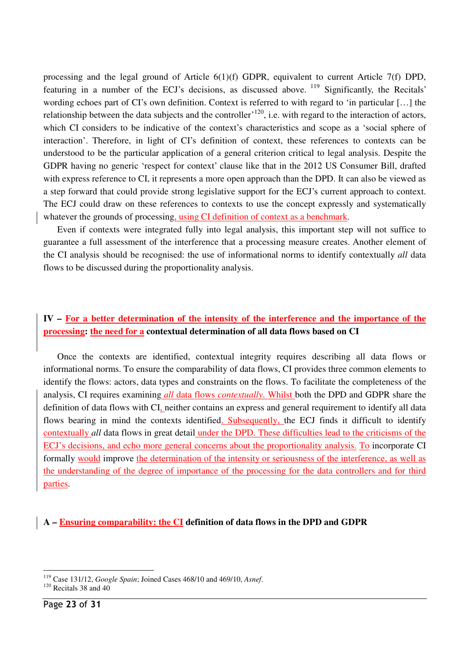processing and the legal ground of Article 6(1)(f) GDPR, equivalent to current Article 7(f) DPD, featuring in a number of the ECJ's decisions, as discussed above.  $119$  Significantly, the Recitals' wording echoes part of CI's own definition. Context is referred to with regard to 'in particular […] the relationship between the data subjects and the controller<sup>,120</sup>, i.e. with regard to the interaction of actors, which CI considers to be indicative of the context's characteristics and scope as a 'social sphere of interaction'. Therefore, in light of CI's definition of context, these references to contexts can be understood to be the particular application of a general criterion critical to legal analysis. Despite the GDPR having no generic 'respect for context' clause like that in the 2012 US Consumer Bill, drafted with express reference to CI, it represents a more open approach than the DPD. It can also be viewed as a step forward that could provide strong legislative support for the ECJ's current approach to context. The ECJ could draw on these references to contexts to use the concept expressly and systematically whatever the grounds of processing, using CI definition of context as a benchmark.

Even if contexts were integrated fully into legal analysis, this important step will not suffice to guarantee a full assessment of the interference that a processing measure creates. Another element of the CI analysis should be recognised: the use of informational norms to identify contextually *all* data flows to be discussed during the proportionality analysis.

# **IV – For a better determination of the intensity of the interference and the importance of the processing: the need for a contextual determination of all data flows based on CI**

Once the contexts are identified, contextual integrity requires describing all data flows or informational norms. To ensure the comparability of data flows, CI provides three common elements to identify the flows: actors, data types and constraints on the flows. To facilitate the completeness of the analysis, CI requires examining *all* data flows *contextually*. Whilst both the DPD and GDPR share the definition of data flows with CI, neither contains an express and general requirement to identify all data flows bearing in mind the contexts identified. Subsequently, the ECJ finds it difficult to identify contextually *all* data flows in great detail under the DPD. These difficulties lead to the criticisms of the ECJ's decisions, and echo more general concerns about the proportionality analysis. To incorporate CI formally would improve the determination of the intensity or seriousness of the interference, as well as the understanding of the degree of importance of the processing for the data controllers and for third parties.

# **A – Ensuring comparability: the CI definition of data flows in the DPD and GDPR**

<sup>-</sup><sup>119</sup> Case 131/12, *Google Spain*; Joined Cases 468/10 and 469/10, *Asnef*.

 $120$  Recitals 38 and 40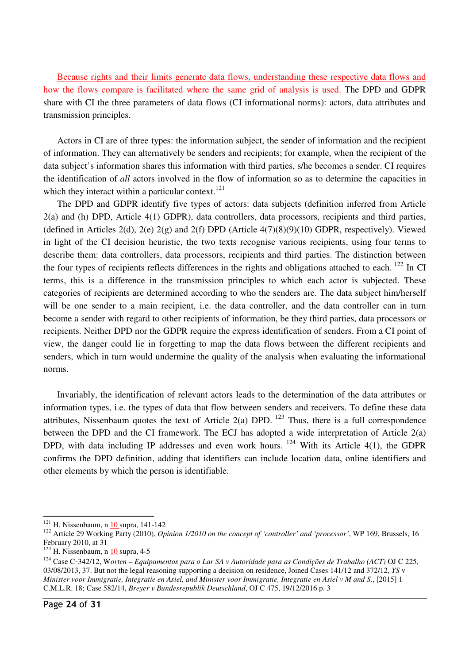Because rights and their limits generate data flows, understanding these respective data flows and how the flows compare is facilitated where the same grid of analysis is used. The DPD and GDPR share with CI the three parameters of data flows (CI informational norms): actors, data attributes and transmission principles.

Actors in CI are of three types: the information subject, the sender of information and the recipient of information. They can alternatively be senders and recipients; for example, when the recipient of the data subject's information shares this information with third parties, s/he becomes a sender. CI requires the identification of *all* actors involved in the flow of information so as to determine the capacities in which they interact within a particular context.<sup>121</sup>

The DPD and GDPR identify five types of actors: data subjects (definition inferred from Article 2(a) and (h) DPD, Article 4(1) GDPR), data controllers, data processors, recipients and third parties, (defined in Articles 2(d), 2(e) 2(g) and 2(f) DPD (Article 4(7)(8)(9)(10) GDPR, respectively). Viewed in light of the CI decision heuristic, the two texts recognise various recipients, using four terms to describe them: data controllers, data processors, recipients and third parties. The distinction between the four types of recipients reflects differences in the rights and obligations attached to each.<sup>122</sup> In CI terms, this is a difference in the transmission principles to which each actor is subjected. These categories of recipients are determined according to who the senders are. The data subject him/herself will be one sender to a main recipient, i.e. the data controller, and the data controller can in turn become a sender with regard to other recipients of information, be they third parties, data processors or recipients. Neither DPD nor the GDPR require the express identification of senders. From a CI point of view, the danger could lie in forgetting to map the data flows between the different recipients and senders, which in turn would undermine the quality of the analysis when evaluating the informational norms.

Invariably, the identification of relevant actors leads to the determination of the data attributes or information types, i.e. the types of data that flow between senders and receivers. To define these data attributes, Nissenbaum quotes the text of Article 2(a) DPD.<sup>123</sup> Thus, there is a full correspondence between the DPD and the CI framework. The ECJ has adopted a wide interpretation of Article 2(a) DPD, with data including IP addresses and even work hours.<sup>124</sup> With its Article 4(1), the GDPR confirms the DPD definition, adding that identifiers can include location data, online identifiers and other elements by which the person is identifiable.

 $121$  H. Nissenbaum, n  $10$  supra, 141-142

<sup>122</sup> Article 29 Working Party (2010), *Opinion 1/2010 on the concept of 'controller' and 'processor'*, WP 169, Brussels, 16 February 2010, at 31

 $123$  H. Nissenbaum, n  $10$  supra, 4-5

<sup>124</sup> Case C-342/12, W*orten – Equipamentos para o Lar SA v Autoridade para as Condições de Trabalho (ACT)* OJ C 225, 03/08/2013, 37. But not the legal reasoning supporting a decision on residence, Joined Cases 141/12 and 372/12, *YS* v *Minister voor Immigratie, Integratie en Asiel, and Minister voor Immigratie, Integratie en Asiel v M and S*., [2015] 1 C.M.L.R. 18; Case 582/14, *Breyer v Bundesrepublik Deutschland*, OJ C 475, 19/12/2016 p. 3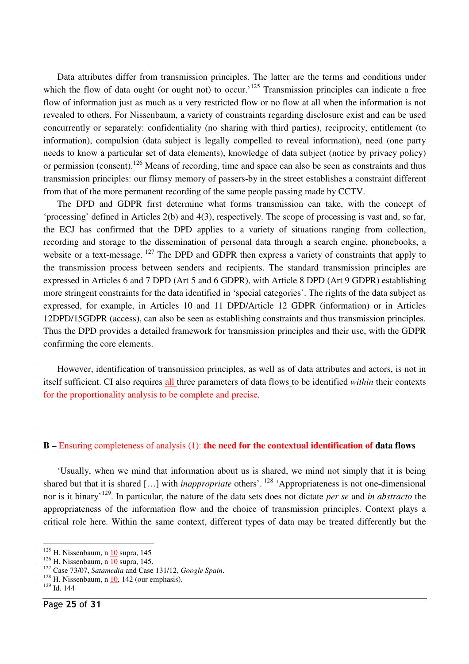Data attributes differ from transmission principles. The latter are the terms and conditions under which the flow of data ought (or ought not) to occur.<sup>125</sup> Transmission principles can indicate a free flow of information just as much as a very restricted flow or no flow at all when the information is not revealed to others. For Nissenbaum, a variety of constraints regarding disclosure exist and can be used concurrently or separately: confidentiality (no sharing with third parties), reciprocity, entitlement (to information), compulsion (data subject is legally compelled to reveal information), need (one party needs to know a particular set of data elements), knowledge of data subject (notice by privacy policy) or permission (consent).<sup>126</sup> Means of recording, time and space can also be seen as constraints and thus transmission principles: our flimsy memory of passers-by in the street establishes a constraint different from that of the more permanent recording of the same people passing made by CCTV.

The DPD and GDPR first determine what forms transmission can take, with the concept of 'processing' defined in Articles 2(b) and 4(3), respectively. The scope of processing is vast and, so far, the ECJ has confirmed that the DPD applies to a variety of situations ranging from collection, recording and storage to the dissemination of personal data through a search engine, phonebooks, a website or a text-message.<sup>127</sup> The DPD and GDPR then express a variety of constraints that apply to the transmission process between senders and recipients. The standard transmission principles are expressed in Articles 6 and 7 DPD (Art 5 and 6 GDPR), with Article 8 DPD (Art 9 GDPR) establishing more stringent constraints for the data identified in 'special categories'. The rights of the data subject as expressed, for example, in Articles 10 and 11 DPD/Article 12 GDPR (information) or in Articles 12DPD/15GDPR (access), can also be seen as establishing constraints and thus transmission principles. Thus the DPD provides a detailed framework for transmission principles and their use, with the GDPR confirming the core elements.

However, identification of transmission principles, as well as of data attributes and actors, is not in itself sufficient. CI also requires all three parameters of data flows to be identified *within* their contexts for the proportionality analysis to be complete and precise.

# **B –** Ensuring completeness of analysis (1): **the need for the contextual identification of data flows**

'Usually, when we mind that information about us is shared, we mind not simply that it is being shared but that it is shared [...] with *inappropriate* others'.<sup>128</sup> 'Appropriateness is not one-dimensional nor is it binary'<sup>129</sup>. In particular, the nature of the data sets does not dictate *per se* and *in abstracto* the appropriateness of the information flow and the choice of transmission principles. Context plays a critical role here. Within the same context, different types of data may be treated differently but the

 $125$  H. Nissenbaum, n  $10$  supra, 145

 $126$  H. Nissenbaum, n  $\overline{10}$  supra, 145.

<sup>127</sup> Case 73/07, *Satamedia* and Case 131/12, *Google Spain*.

 $128$  H. Nissenbaum, n 10, 142 (our emphasis).

<sup>129</sup> Id. 144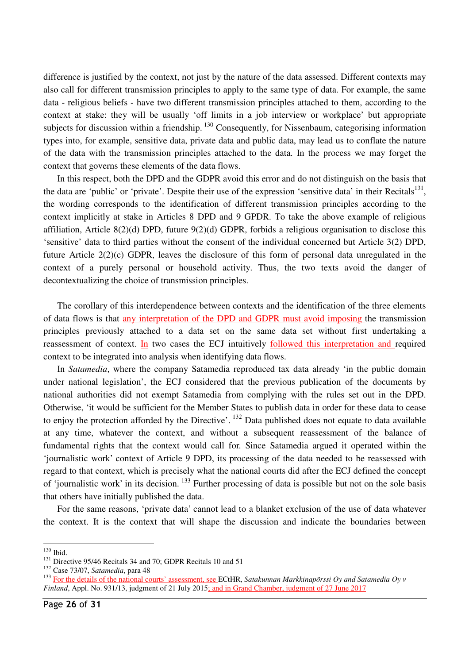difference is justified by the context, not just by the nature of the data assessed. Different contexts may also call for different transmission principles to apply to the same type of data. For example, the same data - religious beliefs - have two different transmission principles attached to them, according to the context at stake: they will be usually 'off limits in a job interview or workplace' but appropriate subjects for discussion within a friendship.<sup>130</sup> Consequently, for Nissenbaum, categorising information types into, for example, sensitive data, private data and public data, may lead us to conflate the nature of the data with the transmission principles attached to the data. In the process we may forget the context that governs these elements of the data flows.

In this respect, both the DPD and the GDPR avoid this error and do not distinguish on the basis that the data are 'public' or 'private'. Despite their use of the expression 'sensitive data' in their Recitals<sup>131</sup>, the wording corresponds to the identification of different transmission principles according to the context implicitly at stake in Articles 8 DPD and 9 GPDR. To take the above example of religious affiliation, Article 8(2)(d) DPD, future 9(2)(d) GDPR, forbids a religious organisation to disclose this 'sensitive' data to third parties without the consent of the individual concerned but Article 3(2) DPD, future Article 2(2)(c) GDPR, leaves the disclosure of this form of personal data unregulated in the context of a purely personal or household activity. Thus, the two texts avoid the danger of decontextualizing the choice of transmission principles.

The corollary of this interdependence between contexts and the identification of the three elements of data flows is that any interpretation of the DPD and GDPR must avoid imposing the transmission principles previously attached to a data set on the same data set without first undertaking a reassessment of context. In two cases the ECJ intuitively followed this interpretation and required context to be integrated into analysis when identifying data flows.

In *Satamedia*, where the company Satamedia reproduced tax data already 'in the public domain under national legislation', the ECJ considered that the previous publication of the documents by national authorities did not exempt Satamedia from complying with the rules set out in the DPD. Otherwise, 'it would be sufficient for the Member States to publish data in order for these data to cease to enjoy the protection afforded by the Directive'.<sup>132</sup> Data published does not equate to data available at any time, whatever the context, and without a subsequent reassessment of the balance of fundamental rights that the context would call for. Since Satamedia argued it operated within the 'journalistic work' context of Article 9 DPD, its processing of the data needed to be reassessed with regard to that context, which is precisely what the national courts did after the ECJ defined the concept of 'journalistic work' in its decision.<sup>133</sup> Further processing of data is possible but not on the sole basis that others have initially published the data.

For the same reasons, 'private data' cannot lead to a blanket exclusion of the use of data whatever the context. It is the context that will shape the discussion and indicate the boundaries between

<sup>-</sup> $130$  Ibid.

<sup>&</sup>lt;sup>131</sup> Directive 95/46 Recitals 34 and 70; GDPR Recitals 10 and 51

<sup>132</sup> Case 73/07, *Satamedia*, para 48

<sup>&</sup>lt;sup>133</sup> For the details of the national courts' assessment, see ECtHR, *Satakunnan Markkinapörssi Oy and Satamedia Oy v Finland*, Appl. No. 931/13, judgment of 21 July 2015; and in Grand Chamber, judgment of 27 June 2017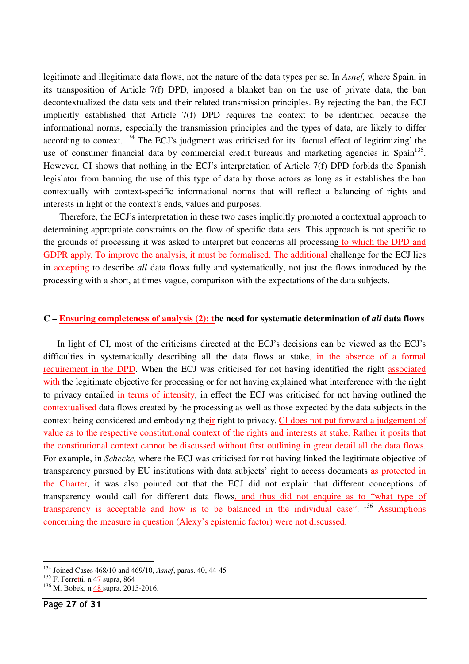legitimate and illegitimate data flows, not the nature of the data types per se. In *Asnef,* where Spain, in its transposition of Article 7(f) DPD, imposed a blanket ban on the use of private data, the ban decontextualized the data sets and their related transmission principles. By rejecting the ban, the ECJ implicitly established that Article 7(f) DPD requires the context to be identified because the informational norms, especially the transmission principles and the types of data, are likely to differ according to context.<sup>134</sup> The ECJ's judgment was criticised for its 'factual effect of legitimizing' the use of consumer financial data by commercial credit bureaus and marketing agencies in Spain<sup>135</sup>. However, CI shows that nothing in the ECJ's interpretation of Article 7(f) DPD forbids the Spanish legislator from banning the use of this type of data by those actors as long as it establishes the ban contextually with context-specific informational norms that will reflect a balancing of rights and interests in light of the context's ends, values and purposes.

 Therefore, the ECJ's interpretation in these two cases implicitly promoted a contextual approach to determining appropriate constraints on the flow of specific data sets. This approach is not specific to the grounds of processing it was asked to interpret but concerns all processing to which the DPD and GDPR apply. To improve the analysis, it must be formalised. The additional challenge for the ECJ lies in accepting to describe *all* data flows fully and systematically, not just the flows introduced by the processing with a short, at times vague, comparison with the expectations of the data subjects.

# **C – Ensuring completeness of analysis (2): the need for systematic determination of** *all* **data flows**

In light of CI, most of the criticisms directed at the ECJ's decisions can be viewed as the ECJ's difficulties in systematically describing all the data flows at stake, in the absence of a formal requirement in the DPD. When the ECJ was criticised for not having identified the right associated with the legitimate objective for processing or for not having explained what interference with the right to privacy entailed in terms of intensity, in effect the ECJ was criticised for not having outlined the contextualised data flows created by the processing as well as those expected by the data subjects in the context being considered and embodying their right to privacy. CI does not put forward a judgement of value as to the respective constitutional context of the rights and interests at stake. Rather it posits that the constitutional context cannot be discussed without first outlining in great detail all the data flows. For example, in *Schecke,* where the ECJ was criticised for not having linked the legitimate objective of transparency pursued by EU institutions with data subjects' right to access documents as protected in the Charter, it was also pointed out that the ECJ did not explain that different conceptions of transparency would call for different data flows, and thus did not enquire as to "what type of transparency is acceptable and how is to be balanced in the individual case". <sup>136</sup> Assumptions concerning the measure in question (Alexy's epistemic factor) were not discussed.

<sup>134</sup> Joined Cases 468/10 and 469/10, *Asnef*, paras. 40, 44-45

 $135$  F. Ferretti, n 47 supra, 864

 $136$  M. Bobek, n  $\overline{48}$  supra, 2015-2016.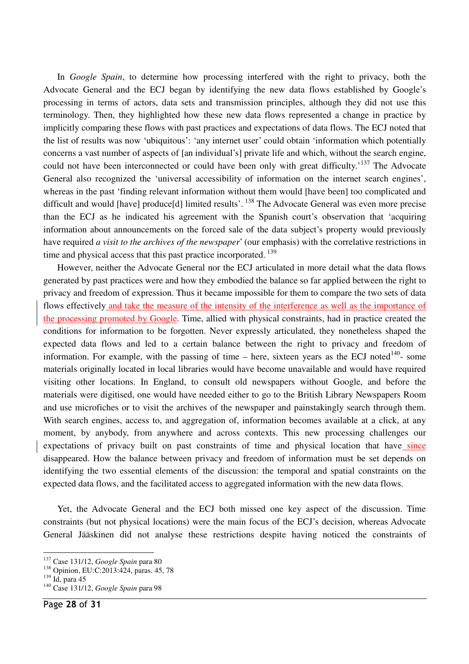In *Google Spain*, to determine how processing interfered with the right to privacy, both the Advocate General and the ECJ began by identifying the new data flows established by Google's processing in terms of actors, data sets and transmission principles, although they did not use this terminology. Then, they highlighted how these new data flows represented a change in practice by implicitly comparing these flows with past practices and expectations of data flows. The ECJ noted that the list of results was now 'ubiquitous': 'any internet user' could obtain 'information which potentially concerns a vast number of aspects of [an individual's] private life and which, without the search engine, could not have been interconnected or could have been only with great difficulty.<sup>'137</sup> The Advocate General also recognized the 'universal accessibility of information on the internet search engines', whereas in the past 'finding relevant information without them would [have been] too complicated and difficult and would [have] produce[d] limited results'.<sup>138</sup> The Advocate General was even more precise than the ECJ as he indicated his agreement with the Spanish court's observation that 'acquiring information about announcements on the forced sale of the data subject's property would previously have required *a visit to the archives of the newspaper*' (our emphasis) with the correlative restrictions in time and physical access that this past practice incorporated.<sup>139</sup>

However, neither the Advocate General nor the ECJ articulated in more detail what the data flows generated by past practices were and how they embodied the balance so far applied between the right to privacy and freedom of expression. Thus it became impossible for them to compare the two sets of data flows effectively and take the measure of the intensity of the interference as well as the importance of the processing promoted by Google. Time, allied with physical constraints, had in practice created the conditions for information to be forgotten. Never expressly articulated, they nonetheless shaped the expected data flows and led to a certain balance between the right to privacy and freedom of information. For example, with the passing of time  $-$  here, sixteen years as the ECJ noted<sup>140</sup>- some materials originally located in local libraries would have become unavailable and would have required visiting other locations. In England, to consult old newspapers without Google, and before the materials were digitised, one would have needed either to go to the British Library Newspapers Room and use microfiches or to visit the archives of the newspaper and painstakingly search through them. With search engines, access to, and aggregation of, information becomes available at a click, at any moment, by anybody, from anywhere and across contexts. This new processing challenges our expectations of privacy built on past constraints of time and physical location that have since disappeared. How the balance between privacy and freedom of information must be set depends on identifying the two essential elements of the discussion: the temporal and spatial constraints on the expected data flows, and the facilitated access to aggregated information with the new data flows.

Yet, the Advocate General and the ECJ both missed one key aspect of the discussion. Time constraints (but not physical locations) were the main focus of the ECJ's decision, whereas Advocate General Jääskinen did not analyse these restrictions despite having noticed the constraints of

<sup>137</sup> Case 131/12, *Google Spain* para 80

<sup>138</sup> Opinion, EU:C:2013:424, paras. 45, 78

<sup>139</sup> Id, para 45

<sup>140</sup> Case 131/12, *Google Spain* para 98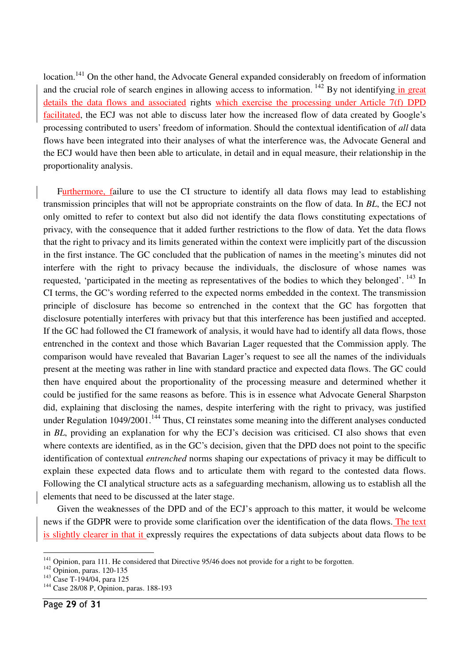location.<sup>141</sup> On the other hand, the Advocate General expanded considerably on freedom of information and the crucial role of search engines in allowing access to information.<sup>142</sup> By not identifying in great details the data flows and associated rights which exercise the processing under Article 7(f) DPD facilitated, the ECJ was not able to discuss later how the increased flow of data created by Google's processing contributed to users' freedom of information. Should the contextual identification of *all* data flows have been integrated into their analyses of what the interference was, the Advocate General and the ECJ would have then been able to articulate, in detail and in equal measure, their relationship in the proportionality analysis.

Furthermore, failure to use the CI structure to identify all data flows may lead to establishing transmission principles that will not be appropriate constraints on the flow of data. In *BL*, the ECJ not only omitted to refer to context but also did not identify the data flows constituting expectations of privacy, with the consequence that it added further restrictions to the flow of data. Yet the data flows that the right to privacy and its limits generated within the context were implicitly part of the discussion in the first instance. The GC concluded that the publication of names in the meeting's minutes did not interfere with the right to privacy because the individuals, the disclosure of whose names was requested, 'participated in the meeting as representatives of the bodies to which they belonged'.<sup>143</sup> In CI terms, the GC's wording referred to the expected norms embedded in the context. The transmission principle of disclosure has become so entrenched in the context that the GC has forgotten that disclosure potentially interferes with privacy but that this interference has been justified and accepted. If the GC had followed the CI framework of analysis, it would have had to identify all data flows, those entrenched in the context and those which Bavarian Lager requested that the Commission apply. The comparison would have revealed that Bavarian Lager's request to see all the names of the individuals present at the meeting was rather in line with standard practice and expected data flows. The GC could then have enquired about the proportionality of the processing measure and determined whether it could be justified for the same reasons as before. This is in essence what Advocate General Sharpston did, explaining that disclosing the names, despite interfering with the right to privacy, was justified under Regulation 1049/2001.<sup>144</sup> Thus, CI reinstates some meaning into the different analyses conducted in *BL*, providing an explanation for why the ECJ's decision was criticised. CI also shows that even where contexts are identified, as in the GC's decision, given that the DPD does not point to the specific identification of contextual *entrenched* norms shaping our expectations of privacy it may be difficult to explain these expected data flows and to articulate them with regard to the contested data flows. Following the CI analytical structure acts as a safeguarding mechanism, allowing us to establish all the elements that need to be discussed at the later stage.

Given the weaknesses of the DPD and of the ECJ's approach to this matter, it would be welcome news if the GDPR were to provide some clarification over the identification of the data flows. The text is slightly clearer in that it expressly requires the expectations of data subjects about data flows to be

<sup>&</sup>lt;sup>141</sup> Opinion, para 111. He considered that Directive 95/46 does not provide for a right to be forgotten.

<sup>142</sup> Opinion, paras. 120-135

<sup>&</sup>lt;sup>143</sup> Case T-194/04, para 125

<sup>144</sup> Case 28/08 P, Opinion, paras. 188-193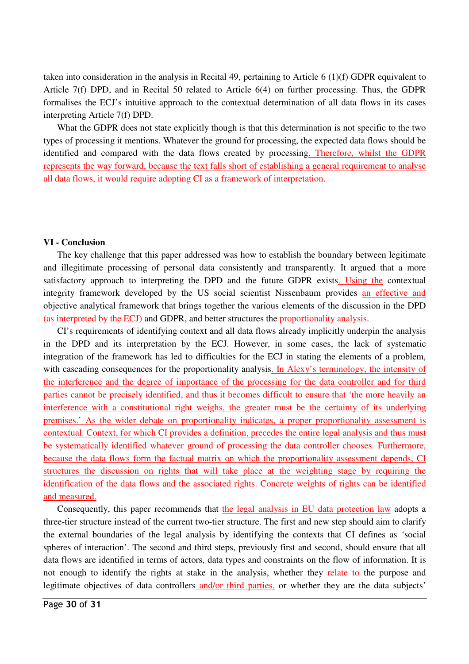taken into consideration in the analysis in Recital 49, pertaining to Article 6 (1)(f) GDPR equivalent to Article 7(f) DPD, and in Recital 50 related to Article 6(4) on further processing. Thus, the GDPR formalises the ECJ's intuitive approach to the contextual determination of all data flows in its cases interpreting Article 7(f) DPD.

What the GDPR does not state explicitly though is that this determination is not specific to the two types of processing it mentions. Whatever the ground for processing, the expected data flows should be identified and compared with the data flows created by processing. Therefore, whilst the GDPR represents the way forward, because the text falls short of establishing a general requirement to analyse all data flows, it would require adopting CI as a framework of interpretation.

### **VI - Conclusion**

The key challenge that this paper addressed was how to establish the boundary between legitimate and illegitimate processing of personal data consistently and transparently. It argued that a more satisfactory approach to interpreting the DPD and the future GDPR exists. Using the contextual integrity framework developed by the US social scientist Nissenbaum provides an effective and objective analytical framework that brings together the various elements of the discussion in the DPD (as interpreted by the ECJ) and GDPR, and better structures the proportionality analysis.

CI's requirements of identifying context and all data flows already implicitly underpin the analysis in the DPD and its interpretation by the ECJ. However, in some cases, the lack of systematic integration of the framework has led to difficulties for the ECJ in stating the elements of a problem, with cascading consequences for the proportionality analysis. In Alexy's terminology, the intensity of the interference and the degree of importance of the processing for the data controller and for third parties cannot be precisely identified, and thus it becomes difficult to ensure that 'the more heavily an interference with a constitutional right weighs, the greater must be the certainty of its underlying premises.' As the wider debate on proportionality indicates, a proper proportionality assessment is contextual. Context, for which CI provides a definition, precedes the entire legal analysis and thus must be systematically identified whatever ground of processing the data controller chooses. Furthermore, because the data flows form the factual matrix on which the proportionality assessment depends, CI structures the discussion on rights that will take place at the weighting stage by requiring the identification of the data flows and the associated rights. Concrete weights of rights can be identified and measured.

Consequently, this paper recommends that the legal analysis in EU data protection law adopts a three-tier structure instead of the current two-tier structure. The first and new step should aim to clarify the external boundaries of the legal analysis by identifying the contexts that CI defines as 'social spheres of interaction'. The second and third steps, previously first and second, should ensure that all data flows are identified in terms of actors, data types and constraints on the flow of information. It is not enough to identify the rights at stake in the analysis, whether they relate to the purpose and legitimate objectives of data controllers and/or third parties, or whether they are the data subjects'